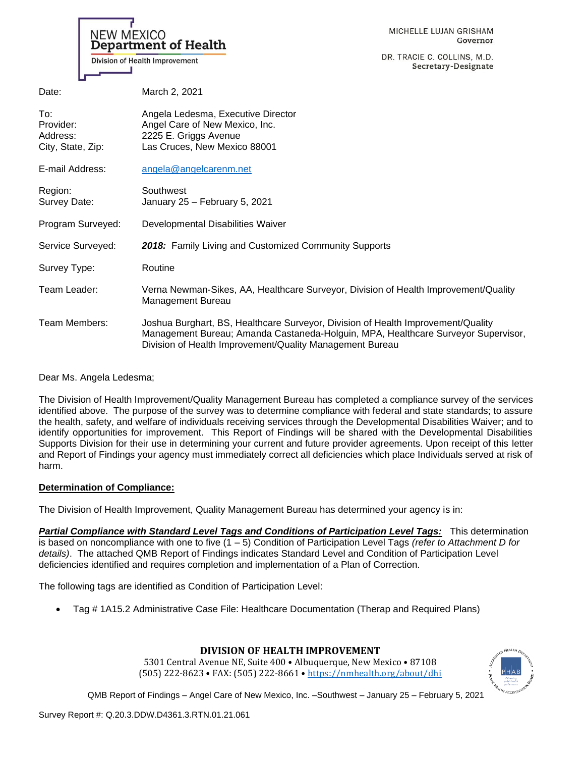|                                                   | MICHELLE LUJAN GRISHAM<br>NEW MEXICO<br>Department of Health<br>Governor<br>DR. TRACIE C. COLLINS, M.D.<br>Division of Health Improvement<br>Secretary-Designate                                                                  |
|---------------------------------------------------|-----------------------------------------------------------------------------------------------------------------------------------------------------------------------------------------------------------------------------------|
| Date:                                             | March 2, 2021                                                                                                                                                                                                                     |
| To:<br>Provider:<br>Address:<br>City, State, Zip: | Angela Ledesma, Executive Director<br>Angel Care of New Mexico, Inc.<br>2225 E. Griggs Avenue<br>Las Cruces, New Mexico 88001                                                                                                     |
| E-mail Address:                                   | angela@angelcarenm.net                                                                                                                                                                                                            |
| Region:<br>Survey Date:                           | Southwest<br>January 25 - February 5, 2021                                                                                                                                                                                        |
| Program Surveyed:                                 | Developmental Disabilities Waiver                                                                                                                                                                                                 |
| Service Surveyed:                                 | 2018: Family Living and Customized Community Supports                                                                                                                                                                             |
| Survey Type:                                      | Routine                                                                                                                                                                                                                           |
| Team Leader:                                      | Verna Newman-Sikes, AA, Healthcare Surveyor, Division of Health Improvement/Quality<br><b>Management Bureau</b>                                                                                                                   |
| Team Members:                                     | Joshua Burghart, BS, Healthcare Surveyor, Division of Health Improvement/Quality<br>Management Bureau; Amanda Castaneda-Holguin, MPA, Healthcare Surveyor Supervisor,<br>Division of Health Improvement/Quality Management Bureau |

Dear Ms. Angela Ledesma;

The Division of Health Improvement/Quality Management Bureau has completed a compliance survey of the services identified above. The purpose of the survey was to determine compliance with federal and state standards; to assure the health, safety, and welfare of individuals receiving services through the Developmental Disabilities Waiver; and to identify opportunities for improvement. This Report of Findings will be shared with the Developmental Disabilities Supports Division for their use in determining your current and future provider agreements. Upon receipt of this letter and Report of Findings your agency must immediately correct all deficiencies which place Individuals served at risk of harm.

## **Determination of Compliance:**

The Division of Health Improvement, Quality Management Bureau has determined your agency is in:

*Partial Compliance with Standard Level Tags and Conditions of Participation Level Tags:* This determination is based on noncompliance with one to five (1 – 5) Condition of Participation Level Tags *(refer to Attachment D for details)*. The attached QMB Report of Findings indicates Standard Level and Condition of Participation Level deficiencies identified and requires completion and implementation of a Plan of Correction.

The following tags are identified as Condition of Participation Level:

• Tag # 1A15.2 Administrative Case File: Healthcare Documentation (Therap and Required Plans)

## **DIVISION OF HEALTH IMPROVEMENT**

5301 Central Avenue NE, Suite 400 • Albuquerque, New Mexico • 87108 (505) 222-8623 • FAX: (505) 222-8661 • <https://nmhealth.org/about/dhi>

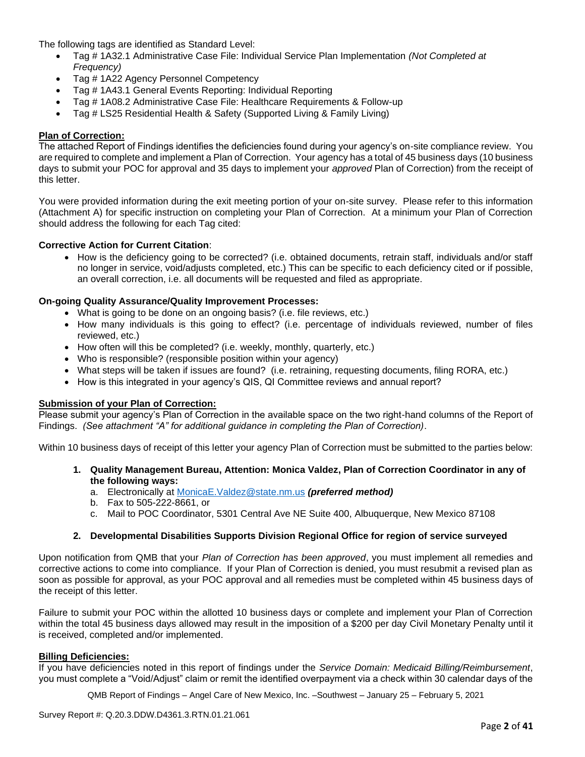The following tags are identified as Standard Level:

- Tag # 1A32.1 Administrative Case File: Individual Service Plan Implementation *(Not Completed at Frequency)*
- Tag # 1A22 Agency Personnel Competency
- Tag # 1A43.1 General Events Reporting: Individual Reporting
- Tag # 1A08.2 Administrative Case File: Healthcare Requirements & Follow-up
- Tag # LS25 Residential Health & Safety (Supported Living & Family Living)

#### **Plan of Correction:**

The attached Report of Findings identifies the deficiencies found during your agency's on-site compliance review. You are required to complete and implement a Plan of Correction. Your agency has a total of 45 business days (10 business days to submit your POC for approval and 35 days to implement your *approved* Plan of Correction) from the receipt of this letter.

You were provided information during the exit meeting portion of your on-site survey. Please refer to this information (Attachment A) for specific instruction on completing your Plan of Correction. At a minimum your Plan of Correction should address the following for each Tag cited:

#### **Corrective Action for Current Citation**:

• How is the deficiency going to be corrected? (i.e. obtained documents, retrain staff, individuals and/or staff no longer in service, void/adjusts completed, etc.) This can be specific to each deficiency cited or if possible, an overall correction, i.e. all documents will be requested and filed as appropriate.

#### **On-going Quality Assurance/Quality Improvement Processes:**

- What is going to be done on an ongoing basis? (i.e. file reviews, etc.)
- How many individuals is this going to effect? (i.e. percentage of individuals reviewed, number of files reviewed, etc.)
- How often will this be completed? (i.e. weekly, monthly, quarterly, etc.)
- Who is responsible? (responsible position within your agency)
- What steps will be taken if issues are found? (i.e. retraining, requesting documents, filing RORA, etc.)
- How is this integrated in your agency's QIS, QI Committee reviews and annual report?

#### **Submission of your Plan of Correction:**

Please submit your agency's Plan of Correction in the available space on the two right-hand columns of the Report of Findings. *(See attachment "A" for additional guidance in completing the Plan of Correction)*.

Within 10 business days of receipt of this letter your agency Plan of Correction must be submitted to the parties below:

- **1. Quality Management Bureau, Attention: Monica Valdez, Plan of Correction Coordinator in any of the following ways:**
	- a. Electronically at [MonicaE.Valdez@state.nm.us](mailto:MonicaE.Valdez@state.nm.us) *(preferred method)*
	- b. Fax to 505-222-8661, or
	- c. Mail to POC Coordinator, 5301 Central Ave NE Suite 400, Albuquerque, New Mexico 87108

## **2. Developmental Disabilities Supports Division Regional Office for region of service surveyed**

Upon notification from QMB that your *Plan of Correction has been approved*, you must implement all remedies and corrective actions to come into compliance. If your Plan of Correction is denied, you must resubmit a revised plan as soon as possible for approval, as your POC approval and all remedies must be completed within 45 business days of the receipt of this letter.

Failure to submit your POC within the allotted 10 business days or complete and implement your Plan of Correction within the total 45 business days allowed may result in the imposition of a \$200 per day Civil Monetary Penalty until it is received, completed and/or implemented.

## **Billing Deficiencies:**

If you have deficiencies noted in this report of findings under the *Service Domain: Medicaid Billing/Reimbursement*, you must complete a "Void/Adjust" claim or remit the identified overpayment via a check within 30 calendar days of the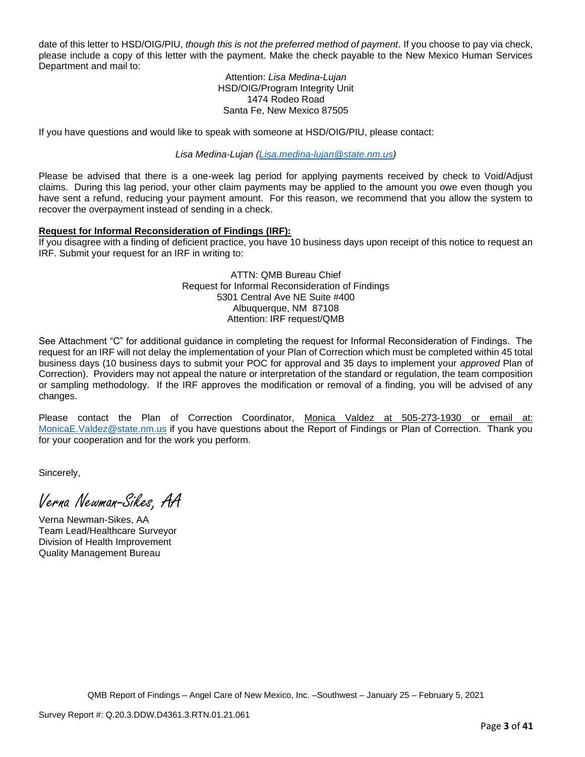date of this letter to HSD/OIG/PIU, *though this is not the preferred method of payment*. If you choose to pay via check, please include a copy of this letter with the payment. Make the check payable to the New Mexico Human Services Department and mail to:

#### Attention: *Lisa Medina-Lujan* HSD/OIG/Program Integrity Unit 1474 Rodeo Road Santa Fe, New Mexico 87505

If you have questions and would like to speak with someone at HSD/OIG/PIU, please contact:

*Lisa Medina-Lujan [\(Lisa.medina-lujan@state.nm.us\)](mailto:Lisa.medina-lujan@state.nm.us)*

Please be advised that there is a one-week lag period for applying payments received by check to Void/Adjust claims. During this lag period, your other claim payments may be applied to the amount you owe even though you have sent a refund, reducing your payment amount. For this reason, we recommend that you allow the system to recover the overpayment instead of sending in a check.

## **Request for Informal Reconsideration of Findings (IRF):**

If you disagree with a finding of deficient practice, you have 10 business days upon receipt of this notice to request an IRF. Submit your request for an IRF in writing to:

> ATTN: QMB Bureau Chief Request for Informal Reconsideration of Findings 5301 Central Ave NE Suite #400 Albuquerque, NM 87108 Attention: IRF request/QMB

See Attachment "C" for additional guidance in completing the request for Informal Reconsideration of Findings. The request for an IRF will not delay the implementation of your Plan of Correction which must be completed within 45 total business days (10 business days to submit your POC for approval and 35 days to implement your *approved* Plan of Correction). Providers may not appeal the nature or interpretation of the standard or regulation, the team composition or sampling methodology. If the IRF approves the modification or removal of a finding, you will be advised of any changes.

Please contact the Plan of Correction Coordinator, Monica Valdez at 505-273-1930 or email at: [MonicaE.Valdez@state.nm.us](mailto:MonicaE.Valdez@state.nm.us) if you have questions about the Report of Findings or Plan of Correction. Thank you for your cooperation and for the work you perform.

Sincerely,

Verna Newman-Sikes, AA

Verna Newman-Sikes, AA Team Lead/Healthcare Surveyor Division of Health Improvement Quality Management Bureau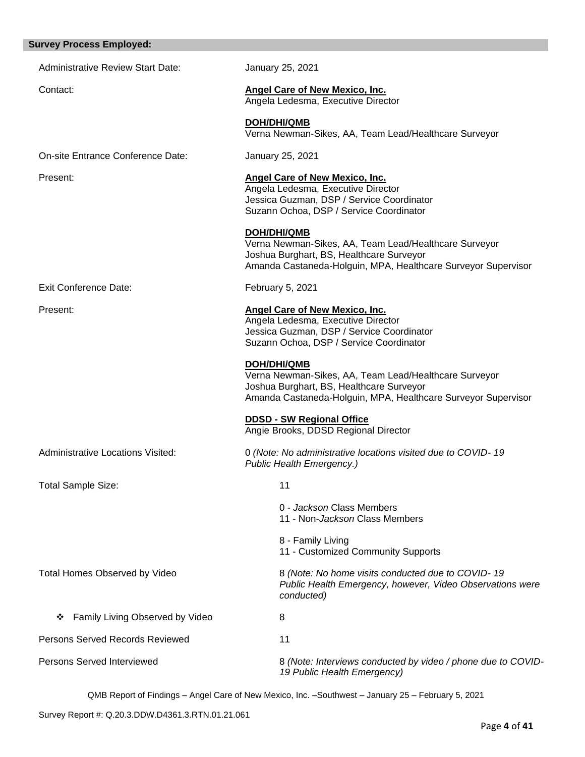# Administrative Review Start Date: January 25, 2021 Contact: **Angel Care of New Mexico, Inc.** Angela Ledesma, Executive Director **DOH/DHI/QMB** Verna Newman-Sikes, AA, Team Lead/Healthcare Surveyor On-site Entrance Conference Date: January 25, 2021 Present: **Angel Care of New Mexico, Inc.** Angela Ledesma, Executive Director Jessica Guzman, DSP / Service Coordinator Suzann Ochoa, DSP / Service Coordinator **DOH/DHI/QMB** Verna Newman-Sikes, AA, Team Lead/Healthcare Surveyor Joshua Burghart, BS, Healthcare Surveyor Amanda Castaneda-Holguin, MPA, Healthcare Surveyor Supervisor Exit Conference Date: February 5, 2021 Present: **Angel Care of New Mexico, Inc.** Angela Ledesma, Executive Director Jessica Guzman, DSP / Service Coordinator Suzann Ochoa, DSP / Service Coordinator **DOH/DHI/QMB** Verna Newman-Sikes, AA, Team Lead/Healthcare Surveyor Joshua Burghart, BS, Healthcare Surveyor Amanda Castaneda-Holguin, MPA, Healthcare Surveyor Supervisor **DDSD - SW Regional Office**  Angie Brooks, DDSD Regional Director Administrative Locations Visited: 0 *(Note: No administrative locations visited due to COVID- 19 Public Health Emergency.)* Total Sample Size: 11 0 - *Jackson* Class Members 11 - Non-*Jackson* Class Members 8 - Family Living 11 - Customized Community Supports Total Homes Observed by Video 8 *(Note: No home visits conducted due to COVID- 19 Public Health Emergency, however, Video Observations were conducted)* ❖ Family Living Observed by Video 8 Persons Served Records Reviewed 11 Persons Served Interviewed **8** *(Note: Interviews conducted by video / phone due to COVID-19 Public Health Emergency)*

QMB Report of Findings – Angel Care of New Mexico, Inc. –Southwest – January 25 – February 5, 2021

**Survey Process Employed:**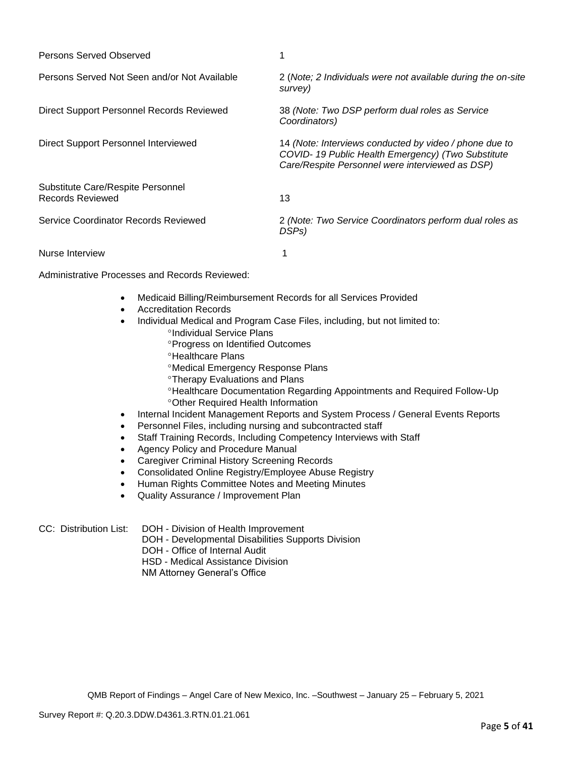| Persons Served Observed                               |                                                                                                                                                                |
|-------------------------------------------------------|----------------------------------------------------------------------------------------------------------------------------------------------------------------|
| Persons Served Not Seen and/or Not Available          | 2 (Note; 2 Individuals were not available during the on-site<br>survey)                                                                                        |
| Direct Support Personnel Records Reviewed             | 38 (Note: Two DSP perform dual roles as Service<br>Coordinators)                                                                                               |
| Direct Support Personnel Interviewed                  | 14 (Note: Interviews conducted by video / phone due to<br>COVID-19 Public Health Emergency) (Two Substitute<br>Care/Respite Personnel were interviewed as DSP) |
| Substitute Care/Respite Personnel<br>Records Reviewed | 13                                                                                                                                                             |
| Service Coordinator Records Reviewed                  | 2 (Note: Two Service Coordinators perform dual roles as<br>DSP <sub>s</sub> )                                                                                  |
| Nurse Interview                                       |                                                                                                                                                                |

Administrative Processes and Records Reviewed:

- Medicaid Billing/Reimbursement Records for all Services Provided
- Accreditation Records
- Individual Medical and Program Case Files, including, but not limited to: °Individual Service Plans
	- Progress on Identified Outcomes
	- **<sup>o</sup>Healthcare Plans**
	- Medical Emergency Response Plans
	- Therapy Evaluations and Plans
	- Healthcare Documentation Regarding Appointments and Required Follow-Up Other Required Health Information
- Internal Incident Management Reports and System Process / General Events Reports
- Personnel Files, including nursing and subcontracted staff
- Staff Training Records, Including Competency Interviews with Staff
- Agency Policy and Procedure Manual
- Caregiver Criminal History Screening Records
- Consolidated Online Registry/Employee Abuse Registry
- Human Rights Committee Notes and Meeting Minutes
- Quality Assurance / Improvement Plan
- CC: Distribution List: DOH Division of Health Improvement
	- DOH Developmental Disabilities Supports Division
	- DOH Office of Internal Audit
	- HSD Medical Assistance Division
	- NM Attorney General's Office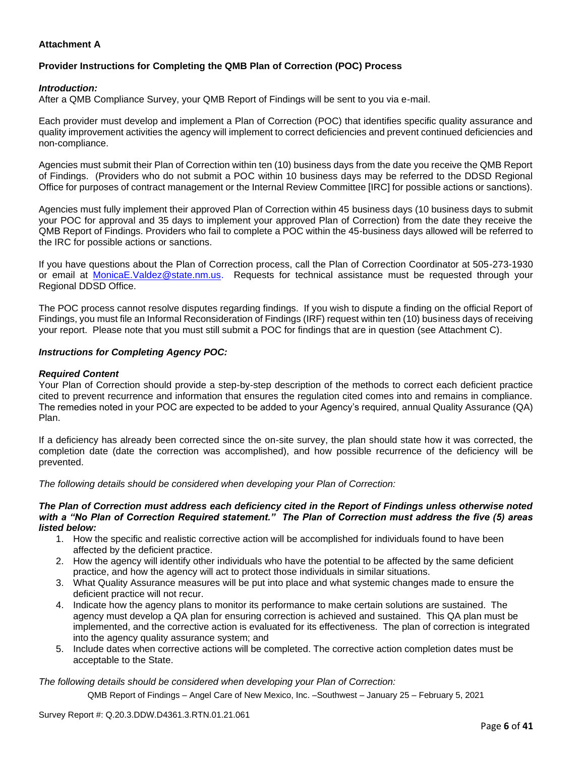## **Attachment A**

## **Provider Instructions for Completing the QMB Plan of Correction (POC) Process**

## *Introduction:*

After a QMB Compliance Survey, your QMB Report of Findings will be sent to you via e-mail.

Each provider must develop and implement a Plan of Correction (POC) that identifies specific quality assurance and quality improvement activities the agency will implement to correct deficiencies and prevent continued deficiencies and non-compliance.

Agencies must submit their Plan of Correction within ten (10) business days from the date you receive the QMB Report of Findings. (Providers who do not submit a POC within 10 business days may be referred to the DDSD Regional Office for purposes of contract management or the Internal Review Committee [IRC] for possible actions or sanctions).

Agencies must fully implement their approved Plan of Correction within 45 business days (10 business days to submit your POC for approval and 35 days to implement your approved Plan of Correction) from the date they receive the QMB Report of Findings. Providers who fail to complete a POC within the 45-business days allowed will be referred to the IRC for possible actions or sanctions.

If you have questions about the Plan of Correction process, call the Plan of Correction Coordinator at 505-273-1930 or email at [MonicaE.Valdez@state.nm.us.](mailto:MonicaE.Valdez@state.nm.us) Requests for technical assistance must be requested through your Regional DDSD Office.

The POC process cannot resolve disputes regarding findings. If you wish to dispute a finding on the official Report of Findings, you must file an Informal Reconsideration of Findings (IRF) request within ten (10) business days of receiving your report. Please note that you must still submit a POC for findings that are in question (see Attachment C).

## *Instructions for Completing Agency POC:*

#### *Required Content*

Your Plan of Correction should provide a step-by-step description of the methods to correct each deficient practice cited to prevent recurrence and information that ensures the regulation cited comes into and remains in compliance. The remedies noted in your POC are expected to be added to your Agency's required, annual Quality Assurance (QA) Plan.

If a deficiency has already been corrected since the on-site survey, the plan should state how it was corrected, the completion date (date the correction was accomplished), and how possible recurrence of the deficiency will be prevented.

*The following details should be considered when developing your Plan of Correction:*

#### *The Plan of Correction must address each deficiency cited in the Report of Findings unless otherwise noted with a "No Plan of Correction Required statement." The Plan of Correction must address the five (5) areas listed below:*

- 1. How the specific and realistic corrective action will be accomplished for individuals found to have been affected by the deficient practice.
- 2. How the agency will identify other individuals who have the potential to be affected by the same deficient practice, and how the agency will act to protect those individuals in similar situations.
- 3. What Quality Assurance measures will be put into place and what systemic changes made to ensure the deficient practice will not recur.
- 4. Indicate how the agency plans to monitor its performance to make certain solutions are sustained. The agency must develop a QA plan for ensuring correction is achieved and sustained. This QA plan must be implemented, and the corrective action is evaluated for its effectiveness. The plan of correction is integrated into the agency quality assurance system; and
- 5. Include dates when corrective actions will be completed. The corrective action completion dates must be acceptable to the State.

*The following details should be considered when developing your Plan of Correction:*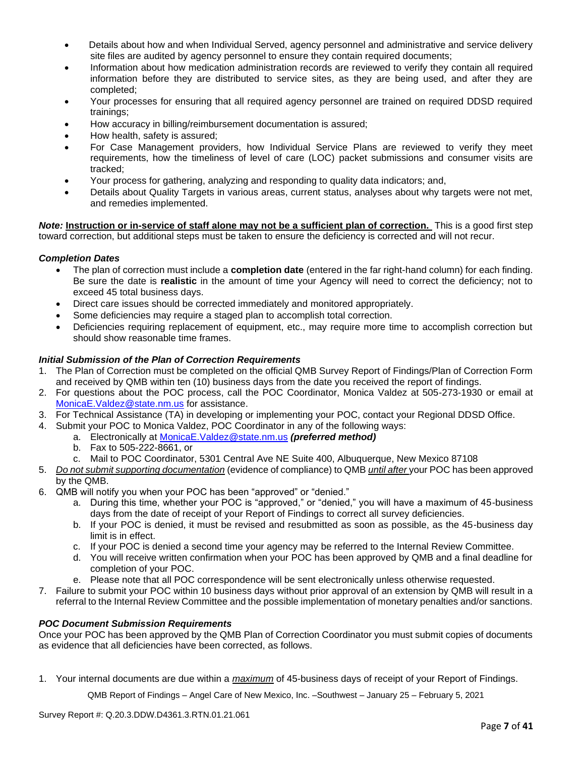- Details about how and when Individual Served, agency personnel and administrative and service delivery site files are audited by agency personnel to ensure they contain required documents;
- Information about how medication administration records are reviewed to verify they contain all required information before they are distributed to service sites, as they are being used, and after they are completed;
- Your processes for ensuring that all required agency personnel are trained on required DDSD required trainings;
- How accuracy in billing/reimbursement documentation is assured;
- How health, safety is assured;
- For Case Management providers, how Individual Service Plans are reviewed to verify they meet requirements, how the timeliness of level of care (LOC) packet submissions and consumer visits are tracked;
- Your process for gathering, analyzing and responding to quality data indicators; and,
- Details about Quality Targets in various areas, current status, analyses about why targets were not met, and remedies implemented.

*Note:* **Instruction or in-service of staff alone may not be a sufficient plan of correction.** This is a good first step toward correction, but additional steps must be taken to ensure the deficiency is corrected and will not recur.

## *Completion Dates*

- The plan of correction must include a **completion date** (entered in the far right-hand column) for each finding. Be sure the date is **realistic** in the amount of time your Agency will need to correct the deficiency; not to exceed 45 total business days.
- Direct care issues should be corrected immediately and monitored appropriately.
- Some deficiencies may require a staged plan to accomplish total correction.
- Deficiencies requiring replacement of equipment, etc., may require more time to accomplish correction but should show reasonable time frames.

## *Initial Submission of the Plan of Correction Requirements*

- 1. The Plan of Correction must be completed on the official QMB Survey Report of Findings/Plan of Correction Form and received by QMB within ten (10) business days from the date you received the report of findings.
- 2. For questions about the POC process, call the POC Coordinator, Monica Valdez at 505-273-1930 or email at [MonicaE.Valdez@state.nm.us](mailto:MonicaE.Valdez@state.nm.us) for assistance.
- 3. For Technical Assistance (TA) in developing or implementing your POC, contact your Regional DDSD Office.
- 4. Submit your POC to Monica Valdez, POC Coordinator in any of the following ways:
	- a. Electronically at [MonicaE.Valdez@state.nm.us](mailto:MonicaE.Valdez@state.nm.us) *(preferred method)*
	- b. Fax to 505-222-8661, or
	- c. Mail to POC Coordinator, 5301 Central Ave NE Suite 400, Albuquerque, New Mexico 87108
- 5. *Do not submit supporting documentation* (evidence of compliance) to QMB *until after* your POC has been approved by the QMB.
- 6. QMB will notify you when your POC has been "approved" or "denied."
	- a. During this time, whether your POC is "approved," or "denied," you will have a maximum of 45-business days from the date of receipt of your Report of Findings to correct all survey deficiencies.
	- b. If your POC is denied, it must be revised and resubmitted as soon as possible, as the 45-business day limit is in effect.
	- c. If your POC is denied a second time your agency may be referred to the Internal Review Committee.
	- d. You will receive written confirmation when your POC has been approved by QMB and a final deadline for completion of your POC.
	- e. Please note that all POC correspondence will be sent electronically unless otherwise requested.
- 7. Failure to submit your POC within 10 business days without prior approval of an extension by QMB will result in a referral to the Internal Review Committee and the possible implementation of monetary penalties and/or sanctions.

## *POC Document Submission Requirements*

Once your POC has been approved by the QMB Plan of Correction Coordinator you must submit copies of documents as evidence that all deficiencies have been corrected, as follows.

1. Your internal documents are due within a *maximum* of 45-business days of receipt of your Report of Findings.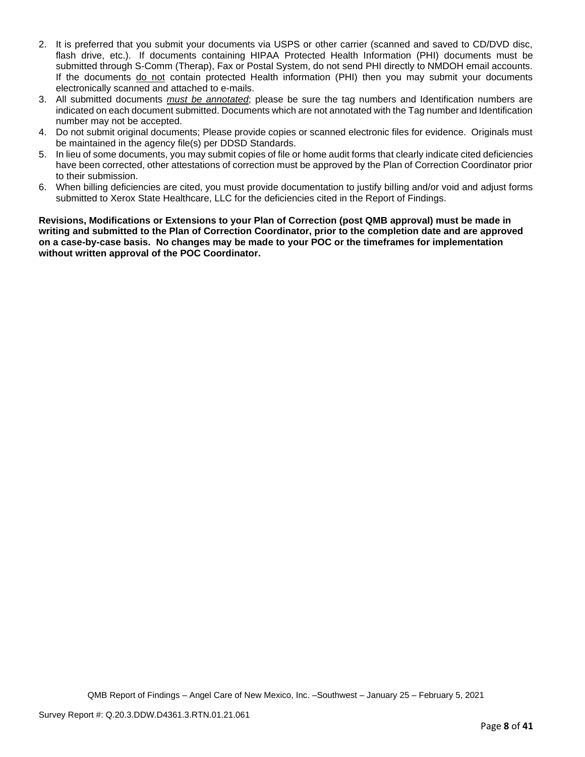- 2. It is preferred that you submit your documents via USPS or other carrier (scanned and saved to CD/DVD disc, flash drive, etc.). If documents containing HIPAA Protected Health Information (PHI) documents must be submitted through S-Comm (Therap), Fax or Postal System, do not send PHI directly to NMDOH email accounts. If the documents do not contain protected Health information (PHI) then you may submit your documents electronically scanned and attached to e-mails.
- 3. All submitted documents *must be annotated*; please be sure the tag numbers and Identification numbers are indicated on each document submitted. Documents which are not annotated with the Tag number and Identification number may not be accepted.
- 4. Do not submit original documents; Please provide copies or scanned electronic files for evidence. Originals must be maintained in the agency file(s) per DDSD Standards.
- 5. In lieu of some documents, you may submit copies of file or home audit forms that clearly indicate cited deficiencies have been corrected, other attestations of correction must be approved by the Plan of Correction Coordinator prior to their submission.
- 6. When billing deficiencies are cited, you must provide documentation to justify billing and/or void and adjust forms submitted to Xerox State Healthcare, LLC for the deficiencies cited in the Report of Findings.

**Revisions, Modifications or Extensions to your Plan of Correction (post QMB approval) must be made in writing and submitted to the Plan of Correction Coordinator, prior to the completion date and are approved on a case-by-case basis. No changes may be made to your POC or the timeframes for implementation without written approval of the POC Coordinator.**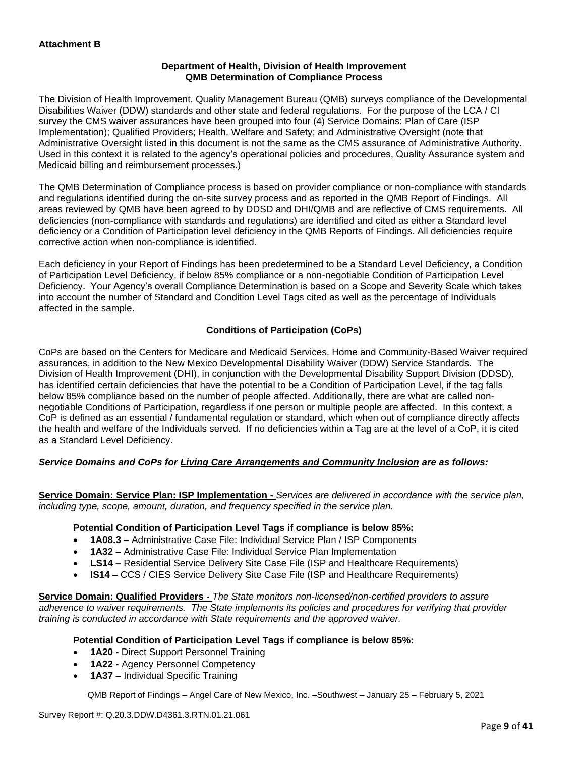## **Department of Health, Division of Health Improvement QMB Determination of Compliance Process**

The Division of Health Improvement, Quality Management Bureau (QMB) surveys compliance of the Developmental Disabilities Waiver (DDW) standards and other state and federal regulations. For the purpose of the LCA / CI survey the CMS waiver assurances have been grouped into four (4) Service Domains: Plan of Care (ISP Implementation); Qualified Providers; Health, Welfare and Safety; and Administrative Oversight (note that Administrative Oversight listed in this document is not the same as the CMS assurance of Administrative Authority. Used in this context it is related to the agency's operational policies and procedures, Quality Assurance system and Medicaid billing and reimbursement processes.)

The QMB Determination of Compliance process is based on provider compliance or non-compliance with standards and regulations identified during the on-site survey process and as reported in the QMB Report of Findings. All areas reviewed by QMB have been agreed to by DDSD and DHI/QMB and are reflective of CMS requirements. All deficiencies (non-compliance with standards and regulations) are identified and cited as either a Standard level deficiency or a Condition of Participation level deficiency in the QMB Reports of Findings. All deficiencies require corrective action when non-compliance is identified.

Each deficiency in your Report of Findings has been predetermined to be a Standard Level Deficiency, a Condition of Participation Level Deficiency, if below 85% compliance or a non-negotiable Condition of Participation Level Deficiency. Your Agency's overall Compliance Determination is based on a Scope and Severity Scale which takes into account the number of Standard and Condition Level Tags cited as well as the percentage of Individuals affected in the sample.

## **Conditions of Participation (CoPs)**

CoPs are based on the Centers for Medicare and Medicaid Services, Home and Community-Based Waiver required assurances, in addition to the New Mexico Developmental Disability Waiver (DDW) Service Standards. The Division of Health Improvement (DHI), in conjunction with the Developmental Disability Support Division (DDSD), has identified certain deficiencies that have the potential to be a Condition of Participation Level, if the tag falls below 85% compliance based on the number of people affected. Additionally, there are what are called nonnegotiable Conditions of Participation, regardless if one person or multiple people are affected. In this context, a CoP is defined as an essential / fundamental regulation or standard, which when out of compliance directly affects the health and welfare of the Individuals served. If no deficiencies within a Tag are at the level of a CoP, it is cited as a Standard Level Deficiency.

## *Service Domains and CoPs for Living Care Arrangements and Community Inclusion are as follows:*

**Service Domain: Service Plan: ISP Implementation -** *Services are delivered in accordance with the service plan, including type, scope, amount, duration, and frequency specified in the service plan.*

## **Potential Condition of Participation Level Tags if compliance is below 85%:**

- **1A08.3 –** Administrative Case File: Individual Service Plan / ISP Components
- **1A32 –** Administrative Case File: Individual Service Plan Implementation
- **LS14 –** Residential Service Delivery Site Case File (ISP and Healthcare Requirements)
- **IS14 –** CCS / CIES Service Delivery Site Case File (ISP and Healthcare Requirements)

**Service Domain: Qualified Providers -** *The State monitors non-licensed/non-certified providers to assure adherence to waiver requirements. The State implements its policies and procedures for verifying that provider training is conducted in accordance with State requirements and the approved waiver.*

## **Potential Condition of Participation Level Tags if compliance is below 85%:**

- **1A20 -** Direct Support Personnel Training
- **1A22 -** Agency Personnel Competency
- **1A37 –** Individual Specific Training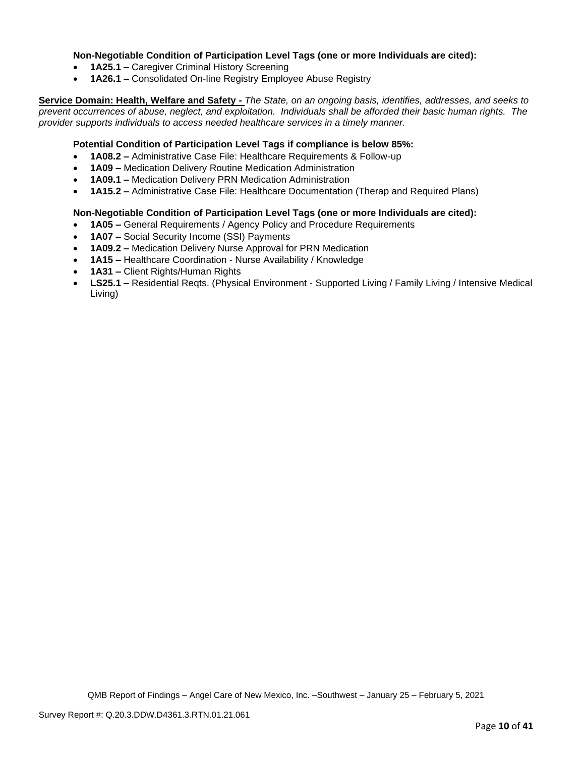## **Non-Negotiable Condition of Participation Level Tags (one or more Individuals are cited):**

- **1A25.1 –** Caregiver Criminal History Screening
- **1A26.1 –** Consolidated On-line Registry Employee Abuse Registry

**Service Domain: Health, Welfare and Safety -** *The State, on an ongoing basis, identifies, addresses, and seeks to prevent occurrences of abuse, neglect, and exploitation. Individuals shall be afforded their basic human rights. The provider supports individuals to access needed healthcare services in a timely manner.*

## **Potential Condition of Participation Level Tags if compliance is below 85%:**

- **1A08.2 –** Administrative Case File: Healthcare Requirements & Follow-up
- **1A09 –** Medication Delivery Routine Medication Administration
- **1A09.1 –** Medication Delivery PRN Medication Administration
- **1A15.2 –** Administrative Case File: Healthcare Documentation (Therap and Required Plans)

## **Non-Negotiable Condition of Participation Level Tags (one or more Individuals are cited):**

- **1A05 –** General Requirements / Agency Policy and Procedure Requirements
- **1A07 –** Social Security Income (SSI) Payments
- **1A09.2 –** Medication Delivery Nurse Approval for PRN Medication
- **1A15 –** Healthcare Coordination Nurse Availability / Knowledge
- **1A31 –** Client Rights/Human Rights
- **LS25.1 –** Residential Reqts. (Physical Environment Supported Living / Family Living / Intensive Medical Living)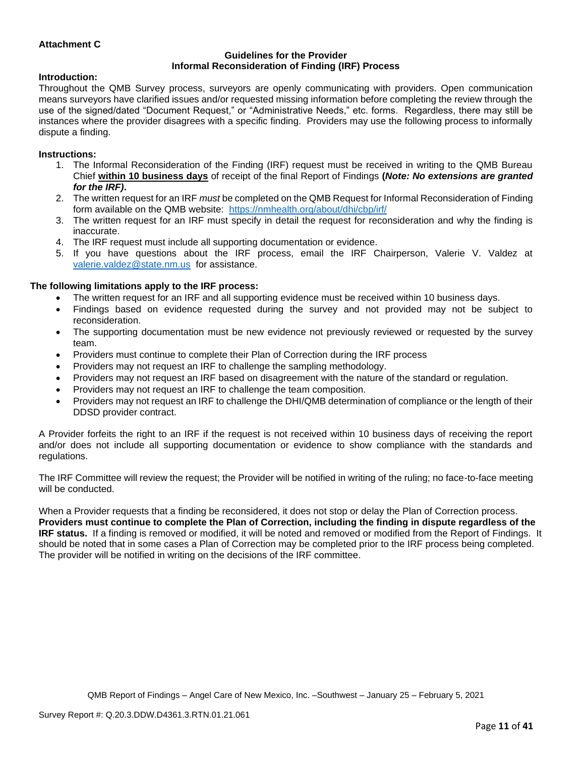## **Attachment C**

#### **Guidelines for the Provider Informal Reconsideration of Finding (IRF) Process**

#### **Introduction:**

Throughout the QMB Survey process, surveyors are openly communicating with providers. Open communication means surveyors have clarified issues and/or requested missing information before completing the review through the use of the signed/dated "Document Request," or "Administrative Needs," etc. forms. Regardless, there may still be instances where the provider disagrees with a specific finding. Providers may use the following process to informally dispute a finding.

#### **Instructions:**

- 1. The Informal Reconsideration of the Finding (IRF) request must be received in writing to the QMB Bureau Chief **within 10 business days** of receipt of the final Report of Findings **(***Note: No extensions are granted for the IRF)***.**
- 2. The written request for an IRF *must* be completed on the QMB Request for Informal Reconsideration of Finding form available on the QMB website: <https://nmhealth.org/about/dhi/cbp/irf/>
- 3. The written request for an IRF must specify in detail the request for reconsideration and why the finding is inaccurate.
- 4. The IRF request must include all supporting documentation or evidence.
- 5. If you have questions about the IRF process, email the IRF Chairperson, Valerie V. Valdez at [valerie.valdez@state.nm.us](mailto:valerie.valdez@state.nm.us) for assistance.

#### **The following limitations apply to the IRF process:**

- The written request for an IRF and all supporting evidence must be received within 10 business days.
- Findings based on evidence requested during the survey and not provided may not be subject to reconsideration.
- The supporting documentation must be new evidence not previously reviewed or requested by the survey team.
- Providers must continue to complete their Plan of Correction during the IRF process
- Providers may not request an IRF to challenge the sampling methodology.
- Providers may not request an IRF based on disagreement with the nature of the standard or regulation.
- Providers may not request an IRF to challenge the team composition.
- Providers may not request an IRF to challenge the DHI/QMB determination of compliance or the length of their DDSD provider contract.

A Provider forfeits the right to an IRF if the request is not received within 10 business days of receiving the report and/or does not include all supporting documentation or evidence to show compliance with the standards and regulations.

The IRF Committee will review the request; the Provider will be notified in writing of the ruling; no face-to-face meeting will be conducted.

When a Provider requests that a finding be reconsidered, it does not stop or delay the Plan of Correction process. **Providers must continue to complete the Plan of Correction, including the finding in dispute regardless of the IRF status.** If a finding is removed or modified, it will be noted and removed or modified from the Report of Findings. It should be noted that in some cases a Plan of Correction may be completed prior to the IRF process being completed. The provider will be notified in writing on the decisions of the IRF committee.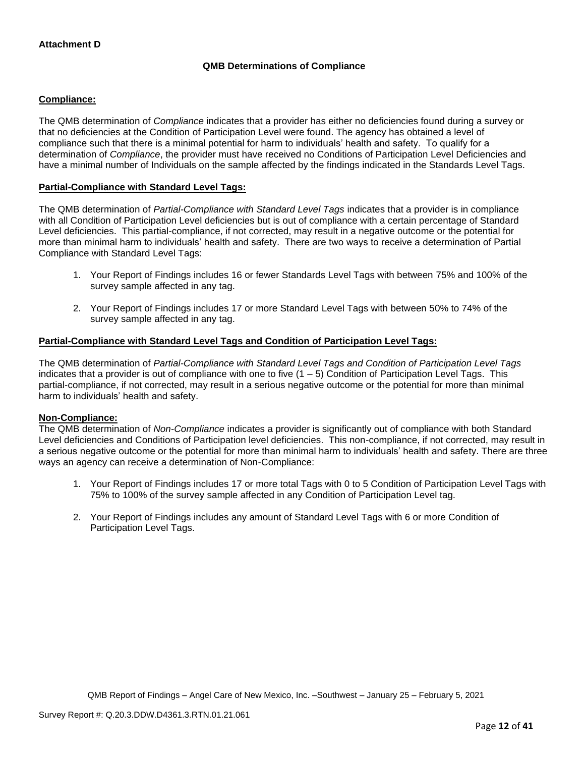## **QMB Determinations of Compliance**

## **Compliance:**

The QMB determination of *Compliance* indicates that a provider has either no deficiencies found during a survey or that no deficiencies at the Condition of Participation Level were found. The agency has obtained a level of compliance such that there is a minimal potential for harm to individuals' health and safety. To qualify for a determination of *Compliance*, the provider must have received no Conditions of Participation Level Deficiencies and have a minimal number of Individuals on the sample affected by the findings indicated in the Standards Level Tags.

## **Partial-Compliance with Standard Level Tags:**

The QMB determination of *Partial-Compliance with Standard Level Tags* indicates that a provider is in compliance with all Condition of Participation Level deficiencies but is out of compliance with a certain percentage of Standard Level deficiencies. This partial-compliance, if not corrected, may result in a negative outcome or the potential for more than minimal harm to individuals' health and safety. There are two ways to receive a determination of Partial Compliance with Standard Level Tags:

- 1. Your Report of Findings includes 16 or fewer Standards Level Tags with between 75% and 100% of the survey sample affected in any tag.
- 2. Your Report of Findings includes 17 or more Standard Level Tags with between 50% to 74% of the survey sample affected in any tag.

## **Partial-Compliance with Standard Level Tags and Condition of Participation Level Tags:**

The QMB determination of *Partial-Compliance with Standard Level Tags and Condition of Participation Level Tags*  indicates that a provider is out of compliance with one to five  $(1 - 5)$  Condition of Participation Level Tags. This partial-compliance, if not corrected, may result in a serious negative outcome or the potential for more than minimal harm to individuals' health and safety.

## **Non-Compliance:**

The QMB determination of *Non-Compliance* indicates a provider is significantly out of compliance with both Standard Level deficiencies and Conditions of Participation level deficiencies. This non-compliance, if not corrected, may result in a serious negative outcome or the potential for more than minimal harm to individuals' health and safety. There are three ways an agency can receive a determination of Non-Compliance:

- 1. Your Report of Findings includes 17 or more total Tags with 0 to 5 Condition of Participation Level Tags with 75% to 100% of the survey sample affected in any Condition of Participation Level tag.
- 2. Your Report of Findings includes any amount of Standard Level Tags with 6 or more Condition of Participation Level Tags.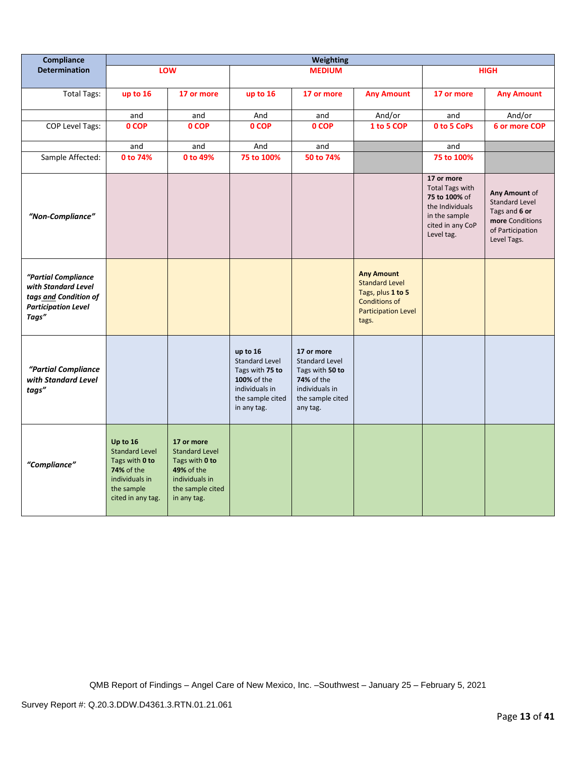| Compliance                                                                                                 | <b>Weighting</b>                                                                                                              |                                                                                                                                 |                                                                                                                          |                                                                                                                        |                                                                                                                                |                                                                                                                             |                                                                                                               |
|------------------------------------------------------------------------------------------------------------|-------------------------------------------------------------------------------------------------------------------------------|---------------------------------------------------------------------------------------------------------------------------------|--------------------------------------------------------------------------------------------------------------------------|------------------------------------------------------------------------------------------------------------------------|--------------------------------------------------------------------------------------------------------------------------------|-----------------------------------------------------------------------------------------------------------------------------|---------------------------------------------------------------------------------------------------------------|
| <b>Determination</b>                                                                                       |                                                                                                                               | LOW                                                                                                                             |                                                                                                                          | <b>MEDIUM</b>                                                                                                          |                                                                                                                                |                                                                                                                             | <b>HIGH</b>                                                                                                   |
| <b>Total Tags:</b>                                                                                         | up to 16                                                                                                                      | 17 or more                                                                                                                      | up to 16                                                                                                                 | 17 or more                                                                                                             | <b>Any Amount</b>                                                                                                              | 17 or more                                                                                                                  | <b>Any Amount</b>                                                                                             |
|                                                                                                            | and                                                                                                                           | and                                                                                                                             | And                                                                                                                      | and                                                                                                                    | And/or                                                                                                                         | and                                                                                                                         | And/or                                                                                                        |
| <b>COP Level Tags:</b>                                                                                     | 0 COP                                                                                                                         | 0 COP                                                                                                                           | 0 COP                                                                                                                    | 0 COP                                                                                                                  | 1 to 5 COP                                                                                                                     | 0 to 5 CoPs                                                                                                                 | 6 or more COP                                                                                                 |
|                                                                                                            | and                                                                                                                           | and                                                                                                                             | And                                                                                                                      | and                                                                                                                    |                                                                                                                                | and                                                                                                                         |                                                                                                               |
| Sample Affected:                                                                                           | 0 to 74%                                                                                                                      | 0 to 49%                                                                                                                        | 75 to 100%                                                                                                               | 50 to 74%                                                                                                              |                                                                                                                                | 75 to 100%                                                                                                                  |                                                                                                               |
| "Non-Compliance"                                                                                           |                                                                                                                               |                                                                                                                                 |                                                                                                                          |                                                                                                                        |                                                                                                                                | 17 or more<br><b>Total Tags with</b><br>75 to 100% of<br>the Individuals<br>in the sample<br>cited in any CoP<br>Level tag. | Any Amount of<br><b>Standard Level</b><br>Tags and 6 or<br>more Conditions<br>of Participation<br>Level Tags. |
| "Partial Compliance<br>with Standard Level<br>tags and Condition of<br><b>Participation Level</b><br>Tags" |                                                                                                                               |                                                                                                                                 |                                                                                                                          |                                                                                                                        | <b>Any Amount</b><br><b>Standard Level</b><br>Tags, plus 1 to 5<br><b>Conditions of</b><br><b>Participation Level</b><br>tags. |                                                                                                                             |                                                                                                               |
| "Partial Compliance<br>with Standard Level<br>tags"                                                        |                                                                                                                               |                                                                                                                                 | up to 16<br><b>Standard Level</b><br>Tags with 75 to<br>100% of the<br>individuals in<br>the sample cited<br>in any tag. | 17 or more<br><b>Standard Level</b><br>Tags with 50 to<br>74% of the<br>individuals in<br>the sample cited<br>any tag. |                                                                                                                                |                                                                                                                             |                                                                                                               |
| "Compliance"                                                                                               | Up to 16<br><b>Standard Level</b><br>Tags with 0 to<br><b>74% of the</b><br>individuals in<br>the sample<br>cited in any tag. | 17 or more<br><b>Standard Level</b><br>Tags with 0 to<br><b>49% of the</b><br>individuals in<br>the sample cited<br>in any tag. |                                                                                                                          |                                                                                                                        |                                                                                                                                |                                                                                                                             |                                                                                                               |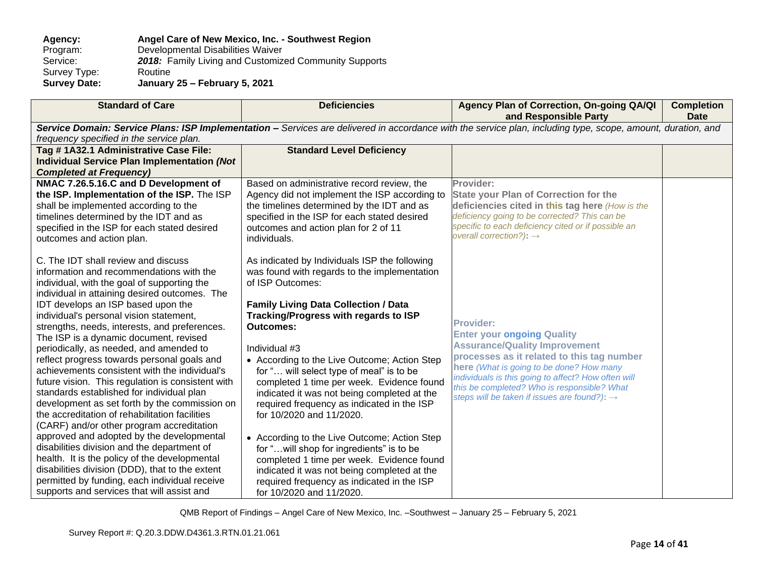| Agency:             | Angel Care of New Mexico, Inc. - Southwest Region     |
|---------------------|-------------------------------------------------------|
| Program:            | Developmental Disabilities Waiver                     |
| Service:            | 2018: Family Living and Customized Community Supports |
| Survey Type:        | Routine                                               |
| <b>Survey Date:</b> | January 25 - February 5, 2021                         |

| <b>Standard of Care</b>                                                                                                                                      | <b>Deficiencies</b>                                                                      | Agency Plan of Correction, On-going QA/QI<br>and Responsible Party                                   | <b>Completion</b><br><b>Date</b> |  |
|--------------------------------------------------------------------------------------------------------------------------------------------------------------|------------------------------------------------------------------------------------------|------------------------------------------------------------------------------------------------------|----------------------------------|--|
| Service Domain: Service Plans: ISP Implementation - Services are delivered in accordance with the service plan, including type, scope, amount, duration, and |                                                                                          |                                                                                                      |                                  |  |
| frequency specified in the service plan.                                                                                                                     |                                                                                          |                                                                                                      |                                  |  |
| Tag # 1A32.1 Administrative Case File:                                                                                                                       | <b>Standard Level Deficiency</b>                                                         |                                                                                                      |                                  |  |
| <b>Individual Service Plan Implementation (Not</b>                                                                                                           |                                                                                          |                                                                                                      |                                  |  |
| <b>Completed at Frequency)</b>                                                                                                                               |                                                                                          |                                                                                                      |                                  |  |
| NMAC 7.26.5.16.C and D Development of                                                                                                                        | Based on administrative record review, the                                               | Provider:                                                                                            |                                  |  |
| the ISP. Implementation of the ISP. The ISP                                                                                                                  | Agency did not implement the ISP according to                                            | <b>State your Plan of Correction for the</b>                                                         |                                  |  |
| shall be implemented according to the                                                                                                                        | the timelines determined by the IDT and as                                               | deficiencies cited in this tag here (How is the                                                      |                                  |  |
| timelines determined by the IDT and as                                                                                                                       | specified in the ISP for each stated desired                                             | deficiency going to be corrected? This can be<br>specific to each deficiency cited or if possible an |                                  |  |
| specified in the ISP for each stated desired                                                                                                                 | outcomes and action plan for 2 of 11                                                     | overall correction?): $\rightarrow$                                                                  |                                  |  |
| outcomes and action plan.                                                                                                                                    | individuals.                                                                             |                                                                                                      |                                  |  |
|                                                                                                                                                              |                                                                                          |                                                                                                      |                                  |  |
| C. The IDT shall review and discuss                                                                                                                          | As indicated by Individuals ISP the following                                            |                                                                                                      |                                  |  |
| information and recommendations with the                                                                                                                     | was found with regards to the implementation                                             |                                                                                                      |                                  |  |
| individual, with the goal of supporting the                                                                                                                  | of ISP Outcomes:                                                                         |                                                                                                      |                                  |  |
| individual in attaining desired outcomes. The                                                                                                                |                                                                                          |                                                                                                      |                                  |  |
| IDT develops an ISP based upon the                                                                                                                           | <b>Family Living Data Collection / Data</b>                                              |                                                                                                      |                                  |  |
| individual's personal vision statement,                                                                                                                      | Tracking/Progress with regards to ISP                                                    | <b>Provider:</b>                                                                                     |                                  |  |
| strengths, needs, interests, and preferences.                                                                                                                | <b>Outcomes:</b>                                                                         | <b>Enter your ongoing Quality</b>                                                                    |                                  |  |
| The ISP is a dynamic document, revised                                                                                                                       | Individual #3                                                                            | <b>Assurance/Quality Improvement</b>                                                                 |                                  |  |
| periodically, as needed, and amended to                                                                                                                      |                                                                                          | processes as it related to this tag number                                                           |                                  |  |
| reflect progress towards personal goals and<br>achievements consistent with the individual's                                                                 | • According to the Live Outcome; Action Step                                             | here (What is going to be done? How many                                                             |                                  |  |
| future vision. This regulation is consistent with                                                                                                            | for " will select type of meal" is to be                                                 | individuals is this going to affect? How often will                                                  |                                  |  |
| standards established for individual plan                                                                                                                    | completed 1 time per week. Evidence found<br>indicated it was not being completed at the | this be completed? Who is responsible? What                                                          |                                  |  |
| development as set forth by the commission on                                                                                                                | required frequency as indicated in the ISP                                               | steps will be taken if issues are found?): $\rightarrow$                                             |                                  |  |
| the accreditation of rehabilitation facilities                                                                                                               | for 10/2020 and 11/2020.                                                                 |                                                                                                      |                                  |  |
| (CARF) and/or other program accreditation                                                                                                                    |                                                                                          |                                                                                                      |                                  |  |
| approved and adopted by the developmental                                                                                                                    |                                                                                          |                                                                                                      |                                  |  |
| disabilities division and the department of                                                                                                                  | • According to the Live Outcome; Action Step<br>for "will shop for ingredients" is to be |                                                                                                      |                                  |  |
| health. It is the policy of the developmental                                                                                                                | completed 1 time per week. Evidence found                                                |                                                                                                      |                                  |  |
| disabilities division (DDD), that to the extent                                                                                                              | indicated it was not being completed at the                                              |                                                                                                      |                                  |  |
| permitted by funding, each individual receive                                                                                                                | required frequency as indicated in the ISP                                               |                                                                                                      |                                  |  |
| supports and services that will assist and                                                                                                                   | for 10/2020 and 11/2020.                                                                 |                                                                                                      |                                  |  |
|                                                                                                                                                              |                                                                                          |                                                                                                      |                                  |  |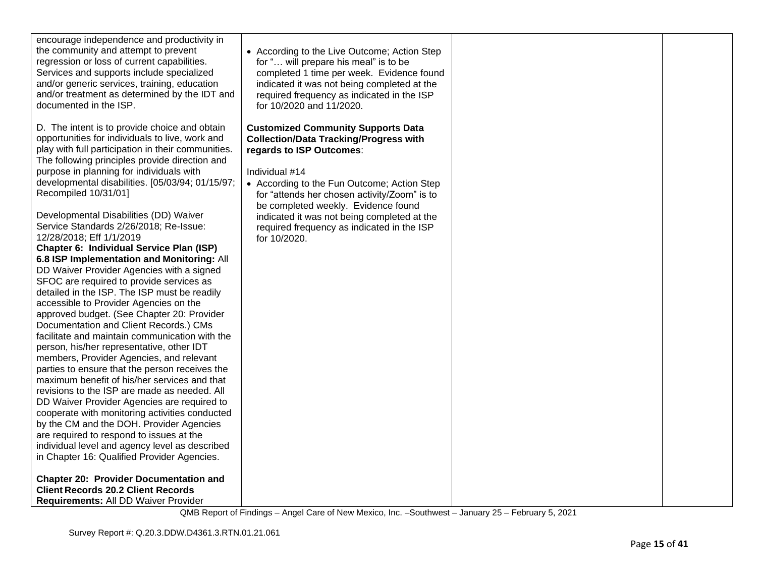| encourage independence and productivity in<br>the community and attempt to prevent<br>regression or loss of current capabilities.<br>Services and supports include specialized<br>and/or generic services, training, education<br>and/or treatment as determined by the IDT and<br>documented in the ISP.                                                                                                                                                                                                                                                                                                                    | • According to the Live Outcome; Action Step<br>for " will prepare his meal" is to be<br>completed 1 time per week. Evidence found<br>indicated it was not being completed at the<br>required frequency as indicated in the ISP<br>for 10/2020 and 11/2020. |  |
|------------------------------------------------------------------------------------------------------------------------------------------------------------------------------------------------------------------------------------------------------------------------------------------------------------------------------------------------------------------------------------------------------------------------------------------------------------------------------------------------------------------------------------------------------------------------------------------------------------------------------|-------------------------------------------------------------------------------------------------------------------------------------------------------------------------------------------------------------------------------------------------------------|--|
| D. The intent is to provide choice and obtain<br>opportunities for individuals to live, work and<br>play with full participation in their communities.<br>The following principles provide direction and<br>purpose in planning for individuals with<br>developmental disabilities. [05/03/94; 01/15/97;<br>Recompiled 10/31/01]                                                                                                                                                                                                                                                                                             | <b>Customized Community Supports Data</b><br><b>Collection/Data Tracking/Progress with</b><br>regards to ISP Outcomes:<br>Individual #14<br>• According to the Fun Outcome; Action Step<br>for "attends her chosen activity/Zoom" is to                     |  |
| Developmental Disabilities (DD) Waiver<br>Service Standards 2/26/2018; Re-Issue:<br>12/28/2018; Eff 1/1/2019<br>Chapter 6: Individual Service Plan (ISP)<br>6.8 ISP Implementation and Monitoring: All<br>DD Waiver Provider Agencies with a signed<br>SFOC are required to provide services as<br>detailed in the ISP. The ISP must be readily<br>accessible to Provider Agencies on the<br>approved budget. (See Chapter 20: Provider<br>Documentation and Client Records.) CMs<br>facilitate and maintain communication with the<br>person, his/her representative, other IDT<br>members, Provider Agencies, and relevant | be completed weekly. Evidence found<br>indicated it was not being completed at the<br>required frequency as indicated in the ISP<br>for 10/2020.                                                                                                            |  |
| parties to ensure that the person receives the<br>maximum benefit of his/her services and that<br>revisions to the ISP are made as needed. All<br>DD Waiver Provider Agencies are required to<br>cooperate with monitoring activities conducted<br>by the CM and the DOH. Provider Agencies<br>are required to respond to issues at the<br>individual level and agency level as described<br>in Chapter 16: Qualified Provider Agencies.                                                                                                                                                                                     |                                                                                                                                                                                                                                                             |  |
| <b>Chapter 20: Provider Documentation and</b><br><b>Client Records 20.2 Client Records</b><br>Requirements: All DD Waiver Provider                                                                                                                                                                                                                                                                                                                                                                                                                                                                                           |                                                                                                                                                                                                                                                             |  |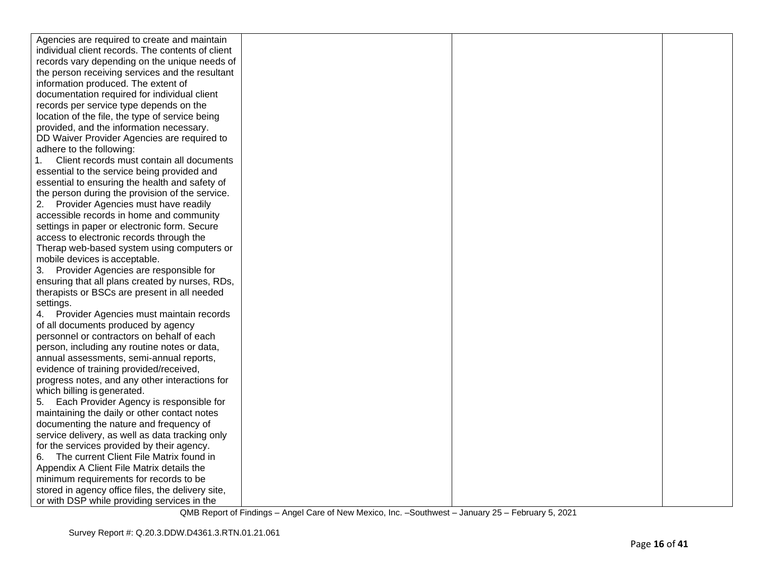| Agencies are required to create and maintain      |  |  |
|---------------------------------------------------|--|--|
| individual client records. The contents of client |  |  |
| records vary depending on the unique needs of     |  |  |
| the person receiving services and the resultant   |  |  |
| information produced. The extent of               |  |  |
| documentation required for individual client      |  |  |
| records per service type depends on the           |  |  |
| location of the file, the type of service being   |  |  |
| provided, and the information necessary.          |  |  |
| DD Waiver Provider Agencies are required to       |  |  |
| adhere to the following:                          |  |  |
| Client records must contain all documents         |  |  |
| essential to the service being provided and       |  |  |
| essential to ensuring the health and safety of    |  |  |
| the person during the provision of the service.   |  |  |
| Provider Agencies must have readily               |  |  |
| accessible records in home and community          |  |  |
| settings in paper or electronic form. Secure      |  |  |
| access to electronic records through the          |  |  |
| Therap web-based system using computers or        |  |  |
| mobile devices is acceptable.                     |  |  |
| 3. Provider Agencies are responsible for          |  |  |
| ensuring that all plans created by nurses, RDs,   |  |  |
| therapists or BSCs are present in all needed      |  |  |
| settings.                                         |  |  |
| Provider Agencies must maintain records           |  |  |
| of all documents produced by agency               |  |  |
| personnel or contractors on behalf of each        |  |  |
| person, including any routine notes or data,      |  |  |
| annual assessments, semi-annual reports,          |  |  |
| evidence of training provided/received,           |  |  |
| progress notes, and any other interactions for    |  |  |
| which billing is generated.                       |  |  |
| Each Provider Agency is responsible for<br>5.     |  |  |
| maintaining the daily or other contact notes      |  |  |
| documenting the nature and frequency of           |  |  |
| service delivery, as well as data tracking only   |  |  |
| for the services provided by their agency.        |  |  |
| The current Client File Matrix found in<br>6.     |  |  |
| Appendix A Client File Matrix details the         |  |  |
| minimum requirements for records to be            |  |  |
| stored in agency office files, the delivery site, |  |  |
| or with DSP while providing services in the       |  |  |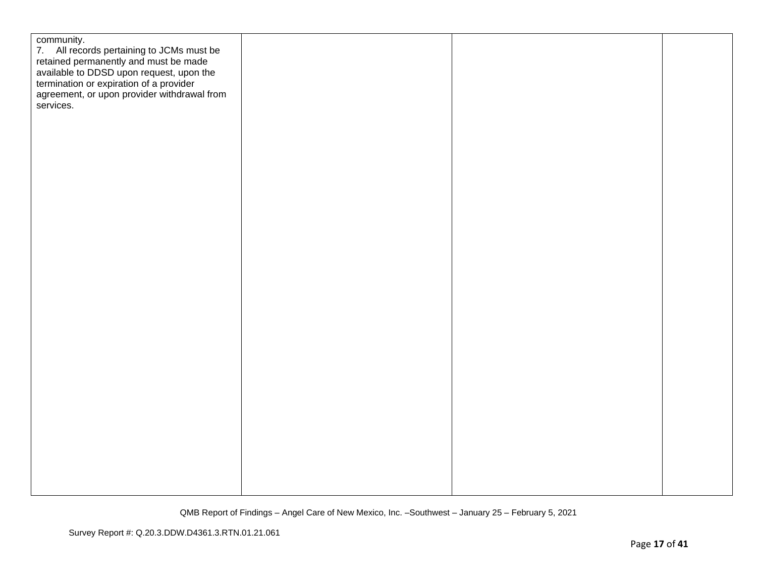| community.<br>7. All records pertaining to JCMs must be<br>retained permanently and must be made<br>available to DDSD upon request, upon the<br>termination or expiration of a provider<br>agreement, or upon provider withdrawal from<br>services. |  |  |
|-----------------------------------------------------------------------------------------------------------------------------------------------------------------------------------------------------------------------------------------------------|--|--|
|                                                                                                                                                                                                                                                     |  |  |
|                                                                                                                                                                                                                                                     |  |  |
|                                                                                                                                                                                                                                                     |  |  |
|                                                                                                                                                                                                                                                     |  |  |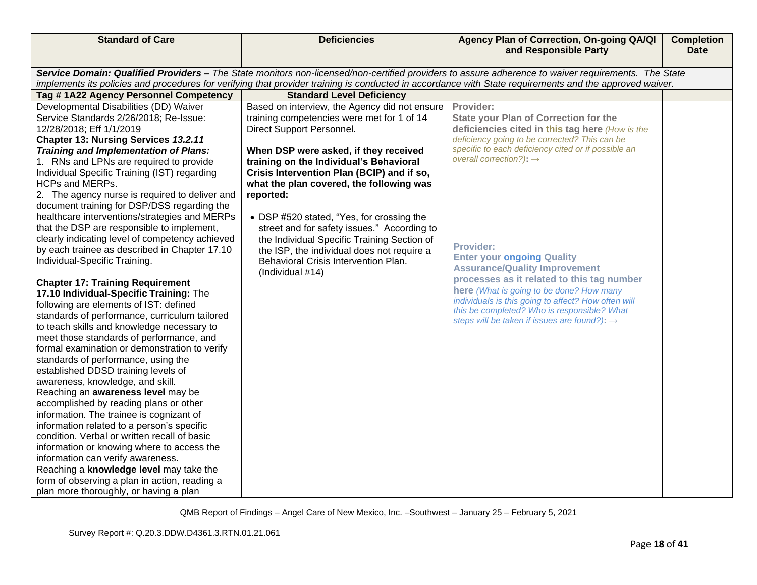| <b>Standard of Care</b>                                                                       | <b>Deficiencies</b>                           | Agency Plan of Correction, On-going QA/QI<br>and Responsible Party                                                                                                                                                                                                                                             | <b>Completion</b><br><b>Date</b> |
|-----------------------------------------------------------------------------------------------|-----------------------------------------------|----------------------------------------------------------------------------------------------------------------------------------------------------------------------------------------------------------------------------------------------------------------------------------------------------------------|----------------------------------|
|                                                                                               |                                               |                                                                                                                                                                                                                                                                                                                |                                  |
|                                                                                               |                                               | Service Domain: Qualified Providers - The State monitors non-licensed/non-certified providers to assure adherence to waiver requirements. The State<br>implements its policies and procedures for verifying that provider training is conducted in accordance with State requirements and the approved waiver. |                                  |
| Tag #1A22 Agency Personnel Competency                                                         | <b>Standard Level Deficiency</b>              |                                                                                                                                                                                                                                                                                                                |                                  |
| Developmental Disabilities (DD) Waiver                                                        | Based on interview, the Agency did not ensure | Provider:                                                                                                                                                                                                                                                                                                      |                                  |
| Service Standards 2/26/2018; Re-Issue:                                                        | training competencies were met for 1 of 14    | <b>State your Plan of Correction for the</b>                                                                                                                                                                                                                                                                   |                                  |
| 12/28/2018; Eff 1/1/2019                                                                      | Direct Support Personnel.                     | deficiencies cited in this tag here (How is the                                                                                                                                                                                                                                                                |                                  |
| Chapter 13: Nursing Services 13.2.11                                                          |                                               | deficiency going to be corrected? This can be                                                                                                                                                                                                                                                                  |                                  |
| Training and Implementation of Plans:                                                         | When DSP were asked, if they received         | specific to each deficiency cited or if possible an<br>overall correction?): $\rightarrow$                                                                                                                                                                                                                     |                                  |
| 1. RNs and LPNs are required to provide                                                       | training on the Individual's Behavioral       |                                                                                                                                                                                                                                                                                                                |                                  |
| Individual Specific Training (IST) regarding                                                  | Crisis Intervention Plan (BCIP) and if so,    |                                                                                                                                                                                                                                                                                                                |                                  |
| HCPs and MERPs.                                                                               | what the plan covered, the following was      |                                                                                                                                                                                                                                                                                                                |                                  |
| 2. The agency nurse is required to deliver and<br>document training for DSP/DSS regarding the | reported:                                     |                                                                                                                                                                                                                                                                                                                |                                  |
| healthcare interventions/strategies and MERPs                                                 | • DSP #520 stated, "Yes, for crossing the     |                                                                                                                                                                                                                                                                                                                |                                  |
| that the DSP are responsible to implement,                                                    | street and for safety issues." According to   |                                                                                                                                                                                                                                                                                                                |                                  |
| clearly indicating level of competency achieved                                               | the Individual Specific Training Section of   |                                                                                                                                                                                                                                                                                                                |                                  |
| by each trainee as described in Chapter 17.10                                                 | the ISP, the individual does not require a    | <b>Provider:</b>                                                                                                                                                                                                                                                                                               |                                  |
| Individual-Specific Training.                                                                 | Behavioral Crisis Intervention Plan.          | <b>Enter your ongoing Quality</b>                                                                                                                                                                                                                                                                              |                                  |
|                                                                                               | (Individual #14)                              | <b>Assurance/Quality Improvement</b><br>processes as it related to this tag number                                                                                                                                                                                                                             |                                  |
| <b>Chapter 17: Training Requirement</b>                                                       |                                               | here (What is going to be done? How many                                                                                                                                                                                                                                                                       |                                  |
| 17.10 Individual-Specific Training: The                                                       |                                               | individuals is this going to affect? How often will                                                                                                                                                                                                                                                            |                                  |
| following are elements of IST: defined                                                        |                                               | this be completed? Who is responsible? What                                                                                                                                                                                                                                                                    |                                  |
| standards of performance, curriculum tailored                                                 |                                               | steps will be taken if issues are found?): $\rightarrow$                                                                                                                                                                                                                                                       |                                  |
| to teach skills and knowledge necessary to<br>meet those standards of performance, and        |                                               |                                                                                                                                                                                                                                                                                                                |                                  |
| formal examination or demonstration to verify                                                 |                                               |                                                                                                                                                                                                                                                                                                                |                                  |
| standards of performance, using the                                                           |                                               |                                                                                                                                                                                                                                                                                                                |                                  |
| established DDSD training levels of                                                           |                                               |                                                                                                                                                                                                                                                                                                                |                                  |
| awareness, knowledge, and skill.                                                              |                                               |                                                                                                                                                                                                                                                                                                                |                                  |
| Reaching an awareness level may be                                                            |                                               |                                                                                                                                                                                                                                                                                                                |                                  |
| accomplished by reading plans or other                                                        |                                               |                                                                                                                                                                                                                                                                                                                |                                  |
| information. The trainee is cognizant of                                                      |                                               |                                                                                                                                                                                                                                                                                                                |                                  |
| information related to a person's specific                                                    |                                               |                                                                                                                                                                                                                                                                                                                |                                  |
| condition. Verbal or written recall of basic                                                  |                                               |                                                                                                                                                                                                                                                                                                                |                                  |
| information or knowing where to access the                                                    |                                               |                                                                                                                                                                                                                                                                                                                |                                  |
| information can verify awareness.                                                             |                                               |                                                                                                                                                                                                                                                                                                                |                                  |
| Reaching a knowledge level may take the                                                       |                                               |                                                                                                                                                                                                                                                                                                                |                                  |
| form of observing a plan in action, reading a                                                 |                                               |                                                                                                                                                                                                                                                                                                                |                                  |
| plan more thoroughly, or having a plan                                                        |                                               |                                                                                                                                                                                                                                                                                                                |                                  |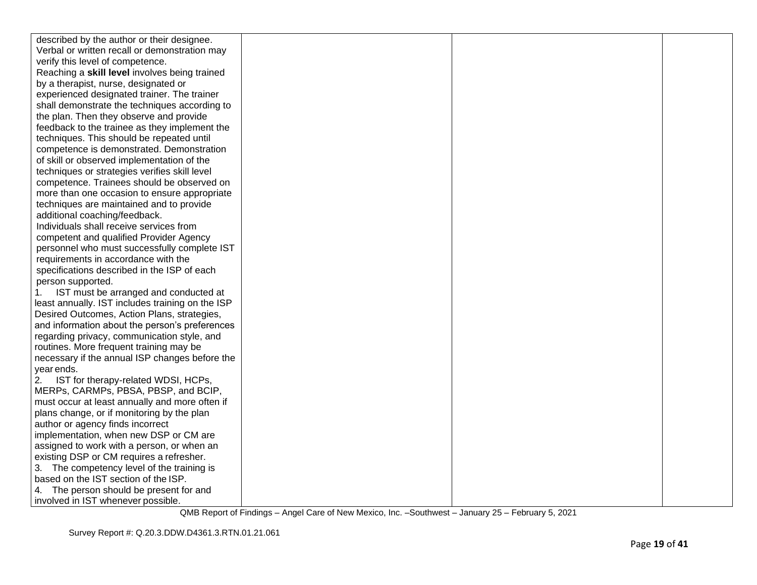| described by the author or their designee.       |  |  |
|--------------------------------------------------|--|--|
| Verbal or written recall or demonstration may    |  |  |
| verify this level of competence.                 |  |  |
| Reaching a skill level involves being trained    |  |  |
| by a therapist, nurse, designated or             |  |  |
| experienced designated trainer. The trainer      |  |  |
| shall demonstrate the techniques according to    |  |  |
| the plan. Then they observe and provide          |  |  |
| feedback to the trainee as they implement the    |  |  |
| techniques. This should be repeated until        |  |  |
| competence is demonstrated. Demonstration        |  |  |
| of skill or observed implementation of the       |  |  |
| techniques or strategies verifies skill level    |  |  |
| competence. Trainees should be observed on       |  |  |
| more than one occasion to ensure appropriate     |  |  |
| techniques are maintained and to provide         |  |  |
| additional coaching/feedback.                    |  |  |
| Individuals shall receive services from          |  |  |
| competent and qualified Provider Agency          |  |  |
| personnel who must successfully complete IST     |  |  |
| requirements in accordance with the              |  |  |
| specifications described in the ISP of each      |  |  |
| person supported.                                |  |  |
| IST must be arranged and conducted at<br>1.      |  |  |
| least annually. IST includes training on the ISP |  |  |
| Desired Outcomes, Action Plans, strategies,      |  |  |
| and information about the person's preferences   |  |  |
| regarding privacy, communication style, and      |  |  |
| routines. More frequent training may be          |  |  |
| necessary if the annual ISP changes before the   |  |  |
| year ends.                                       |  |  |
| IST for therapy-related WDSI, HCPs,<br>2.        |  |  |
| MERPs, CARMPs, PBSA, PBSP, and BCIP,             |  |  |
| must occur at least annually and more often if   |  |  |
| plans change, or if monitoring by the plan       |  |  |
| author or agency finds incorrect                 |  |  |
| implementation, when new DSP or CM are           |  |  |
| assigned to work with a person, or when an       |  |  |
| existing DSP or CM requires a refresher.         |  |  |
| 3. The competency level of the training is       |  |  |
| based on the IST section of the ISP.             |  |  |
| 4. The person should be present for and          |  |  |
| involved in IST whenever possible.               |  |  |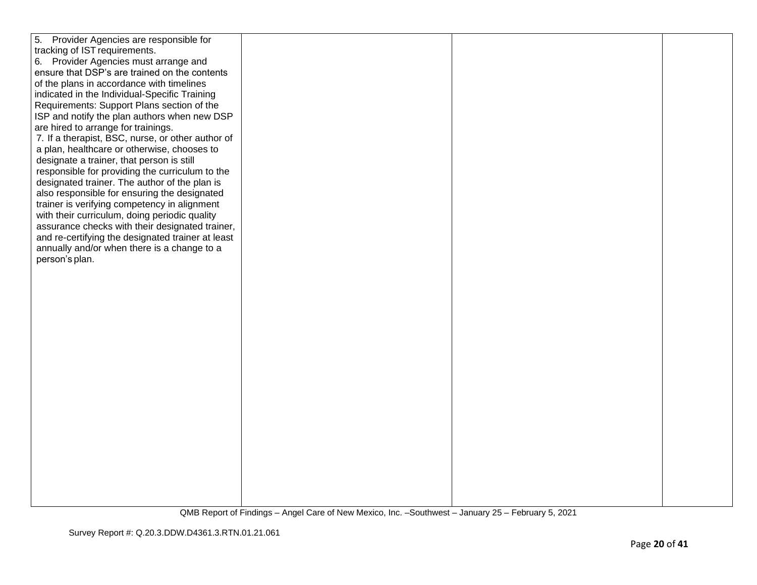| 5.<br>Provider Agencies are responsible for       |  |  |
|---------------------------------------------------|--|--|
| tracking of IST requirements.                     |  |  |
| 6. Provider Agencies must arrange and             |  |  |
| ensure that DSP's are trained on the contents     |  |  |
| of the plans in accordance with timelines         |  |  |
| indicated in the Individual-Specific Training     |  |  |
| Requirements: Support Plans section of the        |  |  |
| ISP and notify the plan authors when new DSP      |  |  |
| are hired to arrange for trainings.               |  |  |
| 7. If a therapist, BSC, nurse, or other author of |  |  |
| a plan, healthcare or otherwise, chooses to       |  |  |
| designate a trainer, that person is still         |  |  |
| responsible for providing the curriculum to the   |  |  |
| designated trainer. The author of the plan is     |  |  |
| also responsible for ensuring the designated      |  |  |
| trainer is verifying competency in alignment      |  |  |
| with their curriculum, doing periodic quality     |  |  |
| assurance checks with their designated trainer,   |  |  |
| and re-certifying the designated trainer at least |  |  |
| annually and/or when there is a change to a       |  |  |
| person's plan.                                    |  |  |
|                                                   |  |  |
|                                                   |  |  |
|                                                   |  |  |
|                                                   |  |  |
|                                                   |  |  |
|                                                   |  |  |
|                                                   |  |  |
|                                                   |  |  |
|                                                   |  |  |
|                                                   |  |  |
|                                                   |  |  |
|                                                   |  |  |
|                                                   |  |  |
|                                                   |  |  |
|                                                   |  |  |
|                                                   |  |  |
|                                                   |  |  |
|                                                   |  |  |
|                                                   |  |  |
|                                                   |  |  |
|                                                   |  |  |
|                                                   |  |  |
|                                                   |  |  |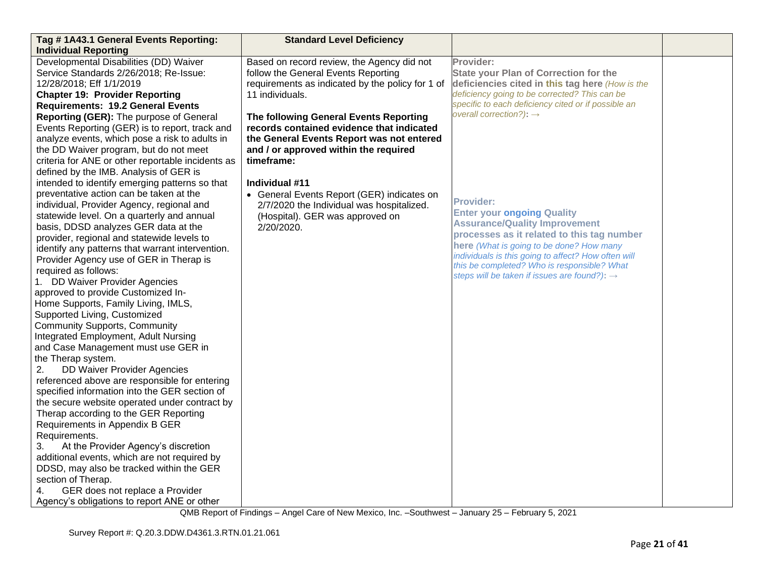| Tag #1A43.1 General Events Reporting:                                                                                                                                                                                                                                                                                                                                                                                                               | <b>Standard Level Deficiency</b>                                                                                                                                                                   |                                                                                                                                                                                                                                                                                                                                                           |  |
|-----------------------------------------------------------------------------------------------------------------------------------------------------------------------------------------------------------------------------------------------------------------------------------------------------------------------------------------------------------------------------------------------------------------------------------------------------|----------------------------------------------------------------------------------------------------------------------------------------------------------------------------------------------------|-----------------------------------------------------------------------------------------------------------------------------------------------------------------------------------------------------------------------------------------------------------------------------------------------------------------------------------------------------------|--|
| <b>Individual Reporting</b>                                                                                                                                                                                                                                                                                                                                                                                                                         |                                                                                                                                                                                                    |                                                                                                                                                                                                                                                                                                                                                           |  |
| Developmental Disabilities (DD) Waiver<br>Service Standards 2/26/2018; Re-Issue:<br>12/28/2018; Eff 1/1/2019<br><b>Chapter 19: Provider Reporting</b><br><b>Requirements: 19.2 General Events</b><br>Reporting (GER): The purpose of General                                                                                                                                                                                                        | Based on record review, the Agency did not<br>follow the General Events Reporting<br>requirements as indicated by the policy for 1 of<br>11 individuals.<br>The following General Events Reporting | Provider:<br><b>State your Plan of Correction for the</b><br>deficiencies cited in this tag here (How is the<br>deficiency going to be corrected? This can be<br>specific to each deficiency cited or if possible an<br>overall correction?): $\rightarrow$                                                                                               |  |
| Events Reporting (GER) is to report, track and<br>analyze events, which pose a risk to adults in<br>the DD Waiver program, but do not meet<br>criteria for ANE or other reportable incidents as<br>defined by the IMB. Analysis of GER is                                                                                                                                                                                                           | records contained evidence that indicated<br>the General Events Report was not entered<br>and / or approved within the required<br>timeframe:                                                      |                                                                                                                                                                                                                                                                                                                                                           |  |
| intended to identify emerging patterns so that<br>preventative action can be taken at the<br>individual, Provider Agency, regional and<br>statewide level. On a quarterly and annual<br>basis, DDSD analyzes GER data at the<br>provider, regional and statewide levels to<br>identify any patterns that warrant intervention.<br>Provider Agency use of GER in Therap is<br>required as follows:<br>1. DD Waiver Provider Agencies                 | Individual #11<br>• General Events Report (GER) indicates on<br>2/7/2020 the Individual was hospitalized.<br>(Hospital). GER was approved on<br>2/20/2020.                                         | <b>Provider:</b><br><b>Enter your ongoing Quality</b><br><b>Assurance/Quality Improvement</b><br>processes as it related to this tag number<br>here (What is going to be done? How many<br>individuals is this going to affect? How often will<br>this be completed? Who is responsible? What<br>steps will be taken if issues are found?): $\rightarrow$ |  |
| approved to provide Customized In-<br>Home Supports, Family Living, IMLS,<br>Supported Living, Customized<br><b>Community Supports, Community</b><br>Integrated Employment, Adult Nursing<br>and Case Management must use GER in<br>the Therap system.<br>DD Waiver Provider Agencies<br>2.                                                                                                                                                         |                                                                                                                                                                                                    |                                                                                                                                                                                                                                                                                                                                                           |  |
| referenced above are responsible for entering<br>specified information into the GER section of<br>the secure website operated under contract by<br>Therap according to the GER Reporting<br>Requirements in Appendix B GER<br>Requirements.<br>At the Provider Agency's discretion<br>3.<br>additional events, which are not required by<br>DDSD, may also be tracked within the GER<br>section of Therap.<br>GER does not replace a Provider<br>4. |                                                                                                                                                                                                    |                                                                                                                                                                                                                                                                                                                                                           |  |
| Agency's obligations to report ANE or other                                                                                                                                                                                                                                                                                                                                                                                                         |                                                                                                                                                                                                    |                                                                                                                                                                                                                                                                                                                                                           |  |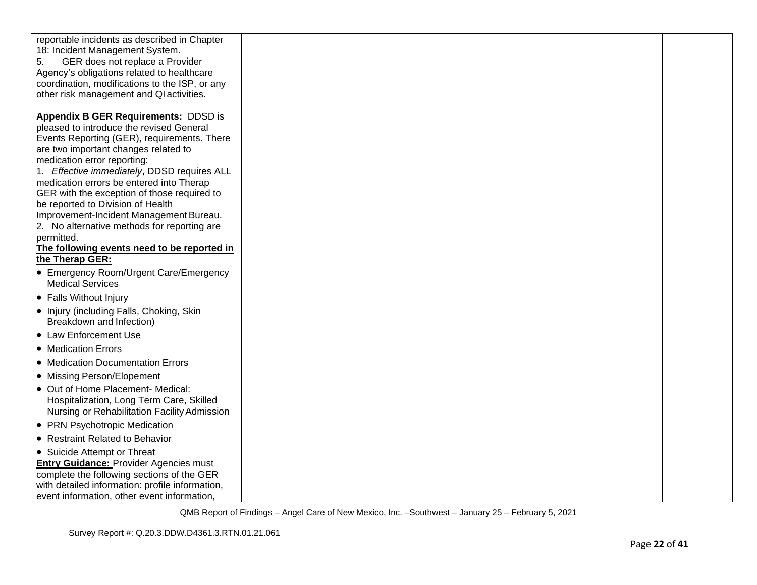| reportable incidents as described in Chapter<br>18: Incident Management System.<br>5.<br>GER does not replace a Provider<br>Agency's obligations related to healthcare  |  |  |
|-------------------------------------------------------------------------------------------------------------------------------------------------------------------------|--|--|
| coordination, modifications to the ISP, or any<br>other risk management and QI activities.                                                                              |  |  |
| Appendix B GER Requirements: DDSD is<br>pleased to introduce the revised General<br>Events Reporting (GER), requirements. There<br>are two important changes related to |  |  |
| medication error reporting:<br>1. Effective immediately, DDSD requires ALL<br>medication errors be entered into Therap                                                  |  |  |
| GER with the exception of those required to<br>be reported to Division of Health                                                                                        |  |  |
| Improvement-Incident Management Bureau.<br>2. No alternative methods for reporting are<br>permitted.                                                                    |  |  |
| The following events need to be reported in<br>the Therap GER:                                                                                                          |  |  |
| • Emergency Room/Urgent Care/Emergency<br><b>Medical Services</b>                                                                                                       |  |  |
| • Falls Without Injury                                                                                                                                                  |  |  |
| • Injury (including Falls, Choking, Skin<br>Breakdown and Infection)                                                                                                    |  |  |
| • Law Enforcement Use                                                                                                                                                   |  |  |
| • Medication Errors                                                                                                                                                     |  |  |
| • Medication Documentation Errors                                                                                                                                       |  |  |
| • Missing Person/Elopement                                                                                                                                              |  |  |
| • Out of Home Placement- Medical:<br>Hospitalization, Long Term Care, Skilled<br>Nursing or Rehabilitation Facility Admission                                           |  |  |
| • PRN Psychotropic Medication                                                                                                                                           |  |  |
| • Restraint Related to Behavior                                                                                                                                         |  |  |
| • Suicide Attempt or Threat                                                                                                                                             |  |  |
| <b>Entry Guidance: Provider Agencies must</b>                                                                                                                           |  |  |
| complete the following sections of the GER                                                                                                                              |  |  |
| with detailed information: profile information,<br>event information, other event information,                                                                          |  |  |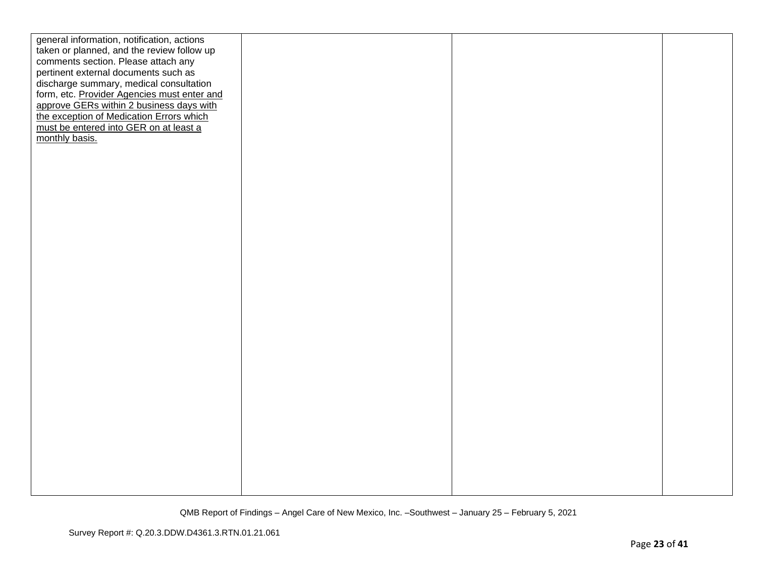| general information, notification, actions  |  |  |
|---------------------------------------------|--|--|
| taken or planned, and the review follow up  |  |  |
| comments section. Please attach any         |  |  |
| pertinent external documents such as        |  |  |
| discharge summary, medical consultation     |  |  |
| form, etc. Provider Agencies must enter and |  |  |
| approve GERs within 2 business days with    |  |  |
| the exception of Medication Errors which    |  |  |
| must be entered into GER on at least a      |  |  |
| monthly basis.                              |  |  |
|                                             |  |  |
|                                             |  |  |
|                                             |  |  |
|                                             |  |  |
|                                             |  |  |
|                                             |  |  |
|                                             |  |  |
|                                             |  |  |
|                                             |  |  |
|                                             |  |  |
|                                             |  |  |
|                                             |  |  |
|                                             |  |  |
|                                             |  |  |
|                                             |  |  |
|                                             |  |  |
|                                             |  |  |
|                                             |  |  |
|                                             |  |  |
|                                             |  |  |
|                                             |  |  |
|                                             |  |  |
|                                             |  |  |
|                                             |  |  |
|                                             |  |  |
|                                             |  |  |
|                                             |  |  |
|                                             |  |  |
|                                             |  |  |
|                                             |  |  |
|                                             |  |  |
|                                             |  |  |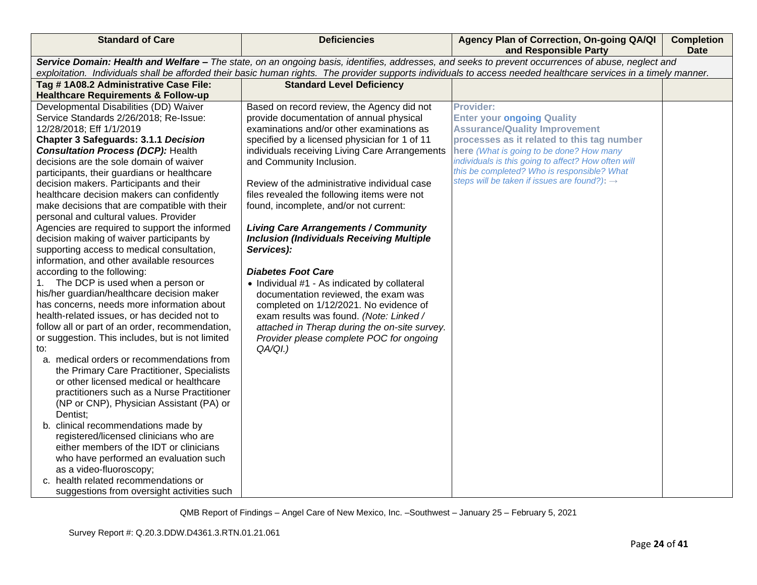| <b>Standard of Care</b>                                                                                                                                          | <b>Deficiencies</b>                              | Agency Plan of Correction, On-going QA/QI<br>and Responsible Party                                                                                 | <b>Completion</b><br><b>Date</b> |
|------------------------------------------------------------------------------------------------------------------------------------------------------------------|--------------------------------------------------|----------------------------------------------------------------------------------------------------------------------------------------------------|----------------------------------|
|                                                                                                                                                                  |                                                  | Service Domain: Health and Welfare - The state, on an ongoing basis, identifies, addresses, and seeks to prevent occurrences of abuse, neglect and |                                  |
| exploitation. Individuals shall be afforded their basic human rights. The provider supports individuals to access needed healthcare services in a timely manner. |                                                  |                                                                                                                                                    |                                  |
| Tag #1A08.2 Administrative Case File:                                                                                                                            | <b>Standard Level Deficiency</b>                 |                                                                                                                                                    |                                  |
| <b>Healthcare Requirements &amp; Follow-up</b>                                                                                                                   |                                                  |                                                                                                                                                    |                                  |
| Developmental Disabilities (DD) Waiver                                                                                                                           | Based on record review, the Agency did not       | <b>Provider:</b>                                                                                                                                   |                                  |
| Service Standards 2/26/2018; Re-Issue:                                                                                                                           | provide documentation of annual physical         | <b>Enter your ongoing Quality</b>                                                                                                                  |                                  |
| 12/28/2018; Eff 1/1/2019                                                                                                                                         | examinations and/or other examinations as        | <b>Assurance/Quality Improvement</b>                                                                                                               |                                  |
| <b>Chapter 3 Safeguards: 3.1.1 Decision</b>                                                                                                                      | specified by a licensed physician for 1 of 11    | processes as it related to this tag number                                                                                                         |                                  |
| <b>Consultation Process (DCP): Health</b>                                                                                                                        | individuals receiving Living Care Arrangements   | here (What is going to be done? How many                                                                                                           |                                  |
| decisions are the sole domain of waiver                                                                                                                          | and Community Inclusion.                         | individuals is this going to affect? How often will                                                                                                |                                  |
| participants, their guardians or healthcare                                                                                                                      |                                                  | this be completed? Who is responsible? What                                                                                                        |                                  |
| decision makers. Participants and their                                                                                                                          | Review of the administrative individual case     | steps will be taken if issues are found?): $\rightarrow$                                                                                           |                                  |
| healthcare decision makers can confidently                                                                                                                       | files revealed the following items were not      |                                                                                                                                                    |                                  |
| make decisions that are compatible with their                                                                                                                    | found, incomplete, and/or not current:           |                                                                                                                                                    |                                  |
| personal and cultural values. Provider                                                                                                                           |                                                  |                                                                                                                                                    |                                  |
| Agencies are required to support the informed                                                                                                                    | <b>Living Care Arrangements / Community</b>      |                                                                                                                                                    |                                  |
| decision making of waiver participants by                                                                                                                        | <b>Inclusion (Individuals Receiving Multiple</b> |                                                                                                                                                    |                                  |
| supporting access to medical consultation,                                                                                                                       | Services):                                       |                                                                                                                                                    |                                  |
| information, and other available resources                                                                                                                       |                                                  |                                                                                                                                                    |                                  |
| according to the following:                                                                                                                                      | <b>Diabetes Foot Care</b>                        |                                                                                                                                                    |                                  |
| 1. The DCP is used when a person or                                                                                                                              | • Individual #1 - As indicated by collateral     |                                                                                                                                                    |                                  |
| his/her guardian/healthcare decision maker                                                                                                                       | documentation reviewed, the exam was             |                                                                                                                                                    |                                  |
| has concerns, needs more information about                                                                                                                       | completed on 1/12/2021. No evidence of           |                                                                                                                                                    |                                  |
| health-related issues, or has decided not to                                                                                                                     | exam results was found. (Note: Linked /          |                                                                                                                                                    |                                  |
| follow all or part of an order, recommendation,                                                                                                                  | attached in Therap during the on-site survey.    |                                                                                                                                                    |                                  |
| or suggestion. This includes, but is not limited                                                                                                                 | Provider please complete POC for ongoing         |                                                                                                                                                    |                                  |
| to:                                                                                                                                                              | QA/QI.)                                          |                                                                                                                                                    |                                  |
| a. medical orders or recommendations from<br>the Primary Care Practitioner, Specialists                                                                          |                                                  |                                                                                                                                                    |                                  |
| or other licensed medical or healthcare                                                                                                                          |                                                  |                                                                                                                                                    |                                  |
| practitioners such as a Nurse Practitioner                                                                                                                       |                                                  |                                                                                                                                                    |                                  |
| (NP or CNP), Physician Assistant (PA) or                                                                                                                         |                                                  |                                                                                                                                                    |                                  |
| Dentist;                                                                                                                                                         |                                                  |                                                                                                                                                    |                                  |
| b. clinical recommendations made by                                                                                                                              |                                                  |                                                                                                                                                    |                                  |
| registered/licensed clinicians who are                                                                                                                           |                                                  |                                                                                                                                                    |                                  |
| either members of the IDT or clinicians                                                                                                                          |                                                  |                                                                                                                                                    |                                  |
| who have performed an evaluation such                                                                                                                            |                                                  |                                                                                                                                                    |                                  |
| as a video-fluoroscopy;                                                                                                                                          |                                                  |                                                                                                                                                    |                                  |
| c. health related recommendations or                                                                                                                             |                                                  |                                                                                                                                                    |                                  |
| suggestions from oversight activities such                                                                                                                       |                                                  |                                                                                                                                                    |                                  |
|                                                                                                                                                                  |                                                  |                                                                                                                                                    |                                  |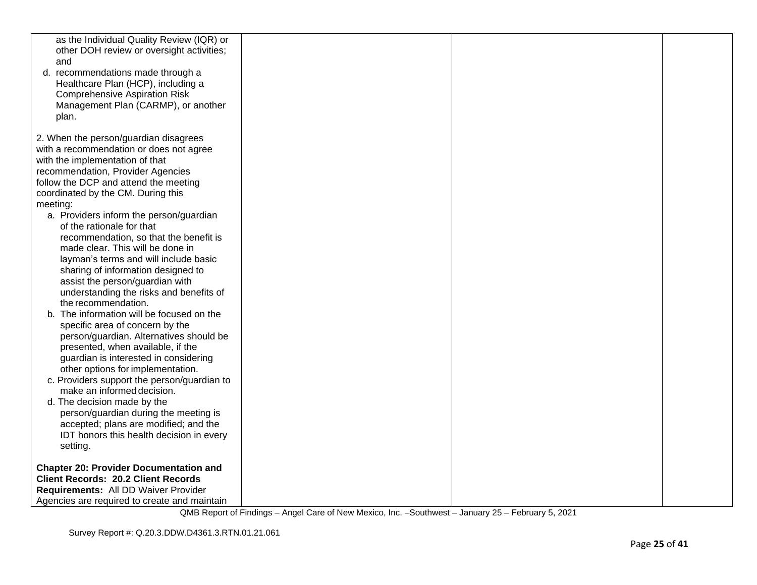| as the Individual Quality Review (IQR) or<br>other DOH review or oversight activities;<br>and<br>d. recommendations made through a<br>Healthcare Plan (HCP), including a<br><b>Comprehensive Aspiration Risk</b><br>Management Plan (CARMP), or another<br>plan.                                                                                                                                                                                                                                                                                                                                                                                                                                                                                              |  |  |
|---------------------------------------------------------------------------------------------------------------------------------------------------------------------------------------------------------------------------------------------------------------------------------------------------------------------------------------------------------------------------------------------------------------------------------------------------------------------------------------------------------------------------------------------------------------------------------------------------------------------------------------------------------------------------------------------------------------------------------------------------------------|--|--|
| 2. When the person/guardian disagrees<br>with a recommendation or does not agree<br>with the implementation of that<br>recommendation, Provider Agencies<br>follow the DCP and attend the meeting<br>coordinated by the CM. During this<br>meeting:<br>a. Providers inform the person/guardian<br>of the rationale for that<br>recommendation, so that the benefit is<br>made clear. This will be done in<br>layman's terms and will include basic<br>sharing of information designed to<br>assist the person/guardian with<br>understanding the risks and benefits of<br>the recommendation.<br>b. The information will be focused on the<br>specific area of concern by the<br>person/guardian. Alternatives should be<br>presented, when available, if the |  |  |
| guardian is interested in considering<br>other options for implementation.<br>c. Providers support the person/guardian to<br>make an informed decision.<br>d. The decision made by the<br>person/guardian during the meeting is<br>accepted; plans are modified; and the<br>IDT honors this health decision in every<br>setting.                                                                                                                                                                                                                                                                                                                                                                                                                              |  |  |
| <b>Chapter 20: Provider Documentation and</b><br><b>Client Records: 20.2 Client Records</b><br>Requirements: All DD Waiver Provider<br>Agencies are required to create and maintain                                                                                                                                                                                                                                                                                                                                                                                                                                                                                                                                                                           |  |  |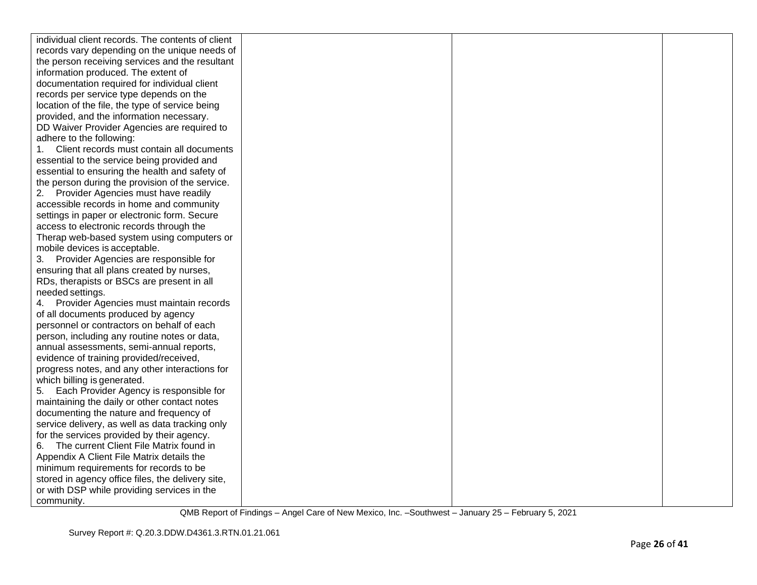| individual client records. The contents of client |  |  |
|---------------------------------------------------|--|--|
| records vary depending on the unique needs of     |  |  |
| the person receiving services and the resultant   |  |  |
| information produced. The extent of               |  |  |
| documentation required for individual client      |  |  |
| records per service type depends on the           |  |  |
| location of the file, the type of service being   |  |  |
| provided, and the information necessary.          |  |  |
| DD Waiver Provider Agencies are required to       |  |  |
| adhere to the following:                          |  |  |
| Client records must contain all documents         |  |  |
| essential to the service being provided and       |  |  |
| essential to ensuring the health and safety of    |  |  |
| the person during the provision of the service.   |  |  |
| 2. Provider Agencies must have readily            |  |  |
| accessible records in home and community          |  |  |
| settings in paper or electronic form. Secure      |  |  |
| access to electronic records through the          |  |  |
| Therap web-based system using computers or        |  |  |
| mobile devices is acceptable.                     |  |  |
| 3. Provider Agencies are responsible for          |  |  |
| ensuring that all plans created by nurses,        |  |  |
| RDs, therapists or BSCs are present in all        |  |  |
| needed settings.                                  |  |  |
| Provider Agencies must maintain records<br>4.     |  |  |
| of all documents produced by agency               |  |  |
| personnel or contractors on behalf of each        |  |  |
| person, including any routine notes or data,      |  |  |
| annual assessments, semi-annual reports,          |  |  |
| evidence of training provided/received,           |  |  |
| progress notes, and any other interactions for    |  |  |
| which billing is generated.                       |  |  |
| Each Provider Agency is responsible for<br>5.     |  |  |
| maintaining the daily or other contact notes      |  |  |
| documenting the nature and frequency of           |  |  |
| service delivery, as well as data tracking only   |  |  |
| for the services provided by their agency.        |  |  |
| 6. The current Client File Matrix found in        |  |  |
| Appendix A Client File Matrix details the         |  |  |
| minimum requirements for records to be            |  |  |
| stored in agency office files, the delivery site, |  |  |
| or with DSP while providing services in the       |  |  |
| community.                                        |  |  |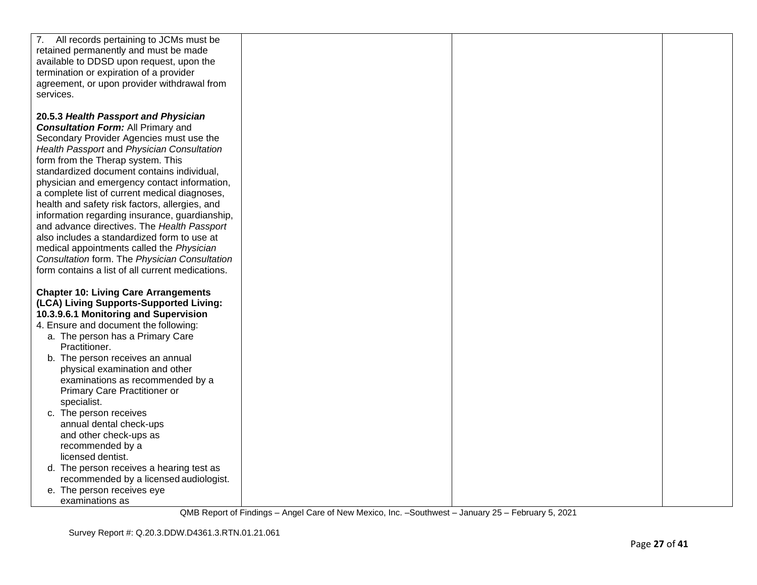| 7. All records pertaining to JCMs must be                                                         |  |  |
|---------------------------------------------------------------------------------------------------|--|--|
| retained permanently and must be made                                                             |  |  |
| available to DDSD upon request, upon the                                                          |  |  |
| termination or expiration of a provider                                                           |  |  |
| agreement, or upon provider withdrawal from                                                       |  |  |
| services.                                                                                         |  |  |
|                                                                                                   |  |  |
| 20.5.3 Health Passport and Physician                                                              |  |  |
| <b>Consultation Form: All Primary and</b>                                                         |  |  |
| Secondary Provider Agencies must use the                                                          |  |  |
| Health Passport and Physician Consultation                                                        |  |  |
| form from the Therap system. This                                                                 |  |  |
| standardized document contains individual,                                                        |  |  |
| physician and emergency contact information,                                                      |  |  |
| a complete list of current medical diagnoses,                                                     |  |  |
| health and safety risk factors, allergies, and                                                    |  |  |
| information regarding insurance, guardianship,                                                    |  |  |
| and advance directives. The Health Passport                                                       |  |  |
| also includes a standardized form to use at                                                       |  |  |
| medical appointments called the Physician                                                         |  |  |
| Consultation form. The Physician Consultation<br>form contains a list of all current medications. |  |  |
|                                                                                                   |  |  |
| <b>Chapter 10: Living Care Arrangements</b>                                                       |  |  |
| (LCA) Living Supports-Supported Living:                                                           |  |  |
| 10.3.9.6.1 Monitoring and Supervision                                                             |  |  |
| 4. Ensure and document the following:                                                             |  |  |
| a. The person has a Primary Care                                                                  |  |  |
| Practitioner.                                                                                     |  |  |
| b. The person receives an annual                                                                  |  |  |
| physical examination and other                                                                    |  |  |
| examinations as recommended by a                                                                  |  |  |
| Primary Care Practitioner or                                                                      |  |  |
| specialist.                                                                                       |  |  |
| c. The person receives                                                                            |  |  |
| annual dental check-ups                                                                           |  |  |
| and other check-ups as                                                                            |  |  |
| recommended by a                                                                                  |  |  |
| licensed dentist.                                                                                 |  |  |
| d. The person receives a hearing test as                                                          |  |  |
| recommended by a licensed audiologist.                                                            |  |  |
| e. The person receives eye                                                                        |  |  |
| examinations as                                                                                   |  |  |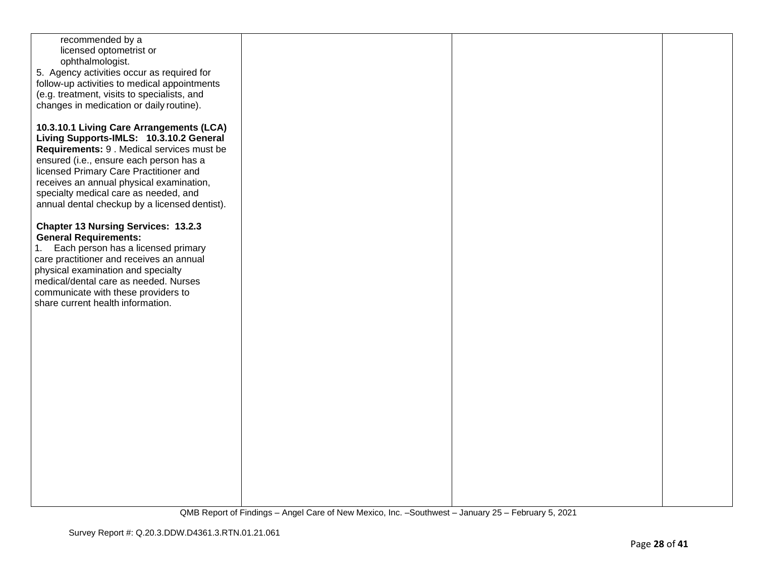| recommended by a                              |  |  |
|-----------------------------------------------|--|--|
|                                               |  |  |
| licensed optometrist or                       |  |  |
| ophthalmologist.                              |  |  |
|                                               |  |  |
| 5. Agency activities occur as required for    |  |  |
| follow-up activities to medical appointments  |  |  |
|                                               |  |  |
| (e.g. treatment, visits to specialists, and   |  |  |
|                                               |  |  |
| changes in medication or daily routine).      |  |  |
|                                               |  |  |
|                                               |  |  |
| 10.3.10.1 Living Care Arrangements (LCA)      |  |  |
| Living Supports-IMLS: 10.3.10.2 General       |  |  |
|                                               |  |  |
| Requirements: 9 . Medical services must be    |  |  |
|                                               |  |  |
| ensured (i.e., ensure each person has a       |  |  |
| licensed Primary Care Practitioner and        |  |  |
|                                               |  |  |
| receives an annual physical examination,      |  |  |
| specialty medical care as needed, and         |  |  |
|                                               |  |  |
| annual dental checkup by a licensed dentist). |  |  |
|                                               |  |  |
|                                               |  |  |
| <b>Chapter 13 Nursing Services: 13.2.3</b>    |  |  |
| <b>General Requirements:</b>                  |  |  |
|                                               |  |  |
| Each person has a licensed primary<br>1.      |  |  |
| care practitioner and receives an annual      |  |  |
|                                               |  |  |
| physical examination and specialty            |  |  |
| medical/dental care as needed. Nurses         |  |  |
|                                               |  |  |
| communicate with these providers to           |  |  |
| share current health information.             |  |  |
|                                               |  |  |
|                                               |  |  |
|                                               |  |  |
|                                               |  |  |
|                                               |  |  |
|                                               |  |  |
|                                               |  |  |
|                                               |  |  |
|                                               |  |  |
|                                               |  |  |
|                                               |  |  |
|                                               |  |  |
|                                               |  |  |
|                                               |  |  |
|                                               |  |  |
|                                               |  |  |
|                                               |  |  |
|                                               |  |  |
|                                               |  |  |
|                                               |  |  |
|                                               |  |  |
|                                               |  |  |
|                                               |  |  |
|                                               |  |  |
|                                               |  |  |
|                                               |  |  |
|                                               |  |  |
|                                               |  |  |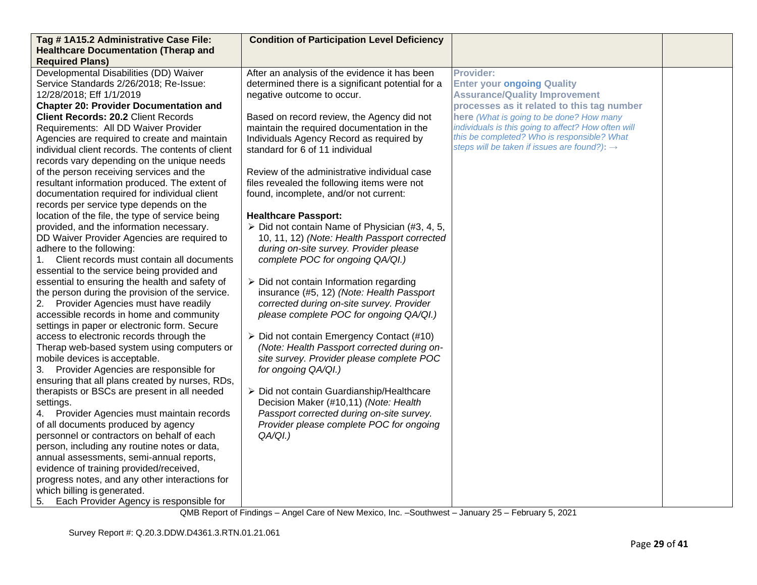| Tag #1A15.2 Administrative Case File:             | <b>Condition of Participation Level Deficiency</b>            |                                                          |  |
|---------------------------------------------------|---------------------------------------------------------------|----------------------------------------------------------|--|
| <b>Healthcare Documentation (Therap and</b>       |                                                               |                                                          |  |
| <b>Required Plans)</b>                            |                                                               |                                                          |  |
| Developmental Disabilities (DD) Waiver            | After an analysis of the evidence it has been                 | <b>Provider:</b>                                         |  |
| Service Standards 2/26/2018; Re-Issue:            | determined there is a significant potential for a             | <b>Enter your ongoing Quality</b>                        |  |
| 12/28/2018; Eff 1/1/2019                          | negative outcome to occur.                                    | <b>Assurance/Quality Improvement</b>                     |  |
| <b>Chapter 20: Provider Documentation and</b>     |                                                               | processes as it related to this tag number               |  |
| <b>Client Records: 20.2 Client Records</b>        | Based on record review, the Agency did not                    | here (What is going to be done? How many                 |  |
| Requirements: All DD Waiver Provider              | maintain the required documentation in the                    | individuals is this going to affect? How often will      |  |
| Agencies are required to create and maintain      | Individuals Agency Record as required by                      | this be completed? Who is responsible? What              |  |
| individual client records. The contents of client | standard for 6 of 11 individual                               | steps will be taken if issues are found?): $\rightarrow$ |  |
| records vary depending on the unique needs        |                                                               |                                                          |  |
| of the person receiving services and the          | Review of the administrative individual case                  |                                                          |  |
| resultant information produced. The extent of     | files revealed the following items were not                   |                                                          |  |
| documentation required for individual client      | found, incomplete, and/or not current:                        |                                                          |  |
| records per service type depends on the           |                                                               |                                                          |  |
| location of the file, the type of service being   | <b>Healthcare Passport:</b>                                   |                                                          |  |
| provided, and the information necessary.          | $\triangleright$ Did not contain Name of Physician (#3, 4, 5, |                                                          |  |
| DD Waiver Provider Agencies are required to       | 10, 11, 12) (Note: Health Passport corrected                  |                                                          |  |
| adhere to the following:                          | during on-site survey. Provider please                        |                                                          |  |
| Client records must contain all documents<br>1.   | complete POC for ongoing QA/QI.)                              |                                                          |  |
| essential to the service being provided and       |                                                               |                                                          |  |
| essential to ensuring the health and safety of    | $\triangleright$ Did not contain Information regarding        |                                                          |  |
| the person during the provision of the service.   | insurance (#5, 12) (Note: Health Passport                     |                                                          |  |
| 2. Provider Agencies must have readily            | corrected during on-site survey. Provider                     |                                                          |  |
| accessible records in home and community          | please complete POC for ongoing QA/QI.)                       |                                                          |  |
| settings in paper or electronic form. Secure      |                                                               |                                                          |  |
| access to electronic records through the          | $\triangleright$ Did not contain Emergency Contact (#10)      |                                                          |  |
| Therap web-based system using computers or        | (Note: Health Passport corrected during on-                   |                                                          |  |
| mobile devices is acceptable.                     | site survey. Provider please complete POC                     |                                                          |  |
| 3. Provider Agencies are responsible for          | for ongoing QA/QI.)                                           |                                                          |  |
| ensuring that all plans created by nurses, RDs,   |                                                               |                                                          |  |
| therapists or BSCs are present in all needed      | > Did not contain Guardianship/Healthcare                     |                                                          |  |
| settings.                                         | Decision Maker (#10,11) (Note: Health                         |                                                          |  |
| Provider Agencies must maintain records<br>4.     | Passport corrected during on-site survey.                     |                                                          |  |
| of all documents produced by agency               | Provider please complete POC for ongoing                      |                                                          |  |
| personnel or contractors on behalf of each        | $QA/QI.$ )                                                    |                                                          |  |
| person, including any routine notes or data,      |                                                               |                                                          |  |
| annual assessments, semi-annual reports,          |                                                               |                                                          |  |
| evidence of training provided/received,           |                                                               |                                                          |  |
| progress notes, and any other interactions for    |                                                               |                                                          |  |
| which billing is generated.                       |                                                               |                                                          |  |
| Each Provider Agency is responsible for<br>5.     |                                                               |                                                          |  |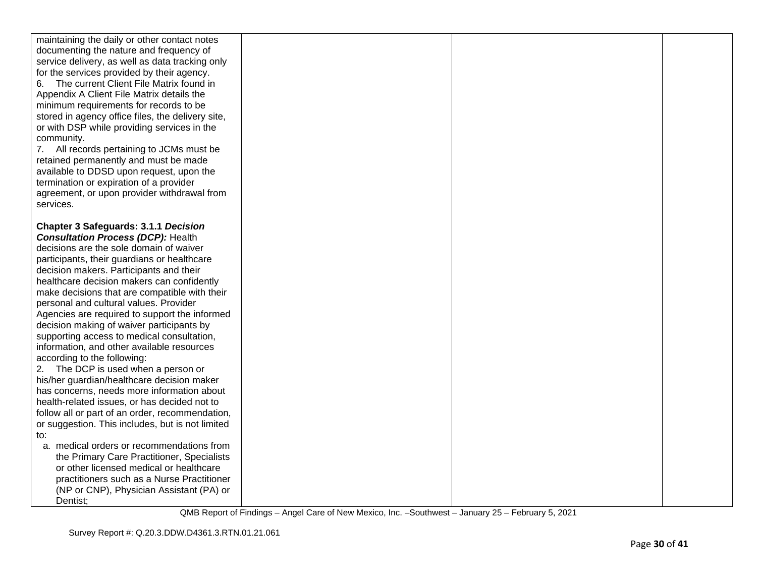| maintaining the daily or other contact notes<br>documenting the nature and frequency of<br>service delivery, as well as data tracking only<br>for the services provided by their agency.<br>6. The current Client File Matrix found in<br>Appendix A Client File Matrix details the<br>minimum requirements for records to be<br>stored in agency office files, the delivery site,<br>or with DSP while providing services in the<br>community.<br>7. All records pertaining to JCMs must be<br>retained permanently and must be made<br>available to DDSD upon request, upon the<br>termination or expiration of a provider<br>agreement, or upon provider withdrawal from<br>services.                                                                                                                                                                                                         |  |  |
|--------------------------------------------------------------------------------------------------------------------------------------------------------------------------------------------------------------------------------------------------------------------------------------------------------------------------------------------------------------------------------------------------------------------------------------------------------------------------------------------------------------------------------------------------------------------------------------------------------------------------------------------------------------------------------------------------------------------------------------------------------------------------------------------------------------------------------------------------------------------------------------------------|--|--|
| <b>Chapter 3 Safeguards: 3.1.1 Decision</b><br><b>Consultation Process (DCP): Health</b><br>decisions are the sole domain of waiver<br>participants, their guardians or healthcare<br>decision makers. Participants and their<br>healthcare decision makers can confidently<br>make decisions that are compatible with their<br>personal and cultural values. Provider<br>Agencies are required to support the informed<br>decision making of waiver participants by<br>supporting access to medical consultation,<br>information, and other available resources<br>according to the following:<br>2. The DCP is used when a person or<br>his/her guardian/healthcare decision maker<br>has concerns, needs more information about<br>health-related issues, or has decided not to<br>follow all or part of an order, recommendation,<br>or suggestion. This includes, but is not limited<br>to: |  |  |
| a. medical orders or recommendations from<br>the Primary Care Practitioner, Specialists<br>or other licensed medical or healthcare<br>practitioners such as a Nurse Practitioner<br>(NP or CNP), Physician Assistant (PA) or<br>Dentist;                                                                                                                                                                                                                                                                                                                                                                                                                                                                                                                                                                                                                                                         |  |  |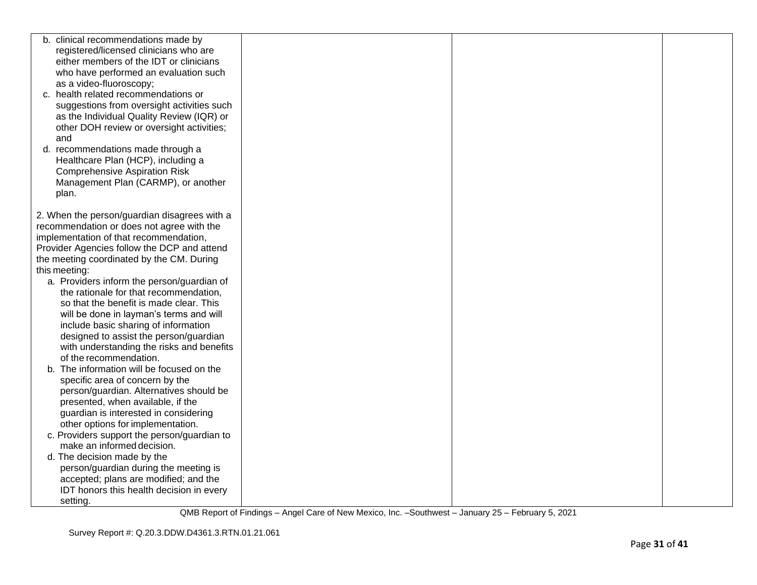| b. clinical recommendations made by          |  |  |
|----------------------------------------------|--|--|
| registered/licensed clinicians who are       |  |  |
| either members of the IDT or clinicians      |  |  |
| who have performed an evaluation such        |  |  |
| as a video-fluoroscopy;                      |  |  |
| c. health related recommendations or         |  |  |
| suggestions from oversight activities such   |  |  |
| as the Individual Quality Review (IQR) or    |  |  |
| other DOH review or oversight activities;    |  |  |
| and                                          |  |  |
| d. recommendations made through a            |  |  |
| Healthcare Plan (HCP), including a           |  |  |
| <b>Comprehensive Aspiration Risk</b>         |  |  |
| Management Plan (CARMP), or another          |  |  |
| plan.                                        |  |  |
|                                              |  |  |
| 2. When the person/guardian disagrees with a |  |  |
| recommendation or does not agree with the    |  |  |
| implementation of that recommendation,       |  |  |
| Provider Agencies follow the DCP and attend  |  |  |
| the meeting coordinated by the CM. During    |  |  |
| this meeting:                                |  |  |
| a. Providers inform the person/guardian of   |  |  |
| the rationale for that recommendation,       |  |  |
| so that the benefit is made clear. This      |  |  |
| will be done in layman's terms and will      |  |  |
| include basic sharing of information         |  |  |
| designed to assist the person/guardian       |  |  |
| with understanding the risks and benefits    |  |  |
| of the recommendation.                       |  |  |
| The information will be focused on the<br>b. |  |  |
| specific area of concern by the              |  |  |
| person/guardian. Alternatives should be      |  |  |
| presented, when available, if the            |  |  |
| guardian is interested in considering        |  |  |
| other options for implementation.            |  |  |
| c. Providers support the person/guardian to  |  |  |
| make an informed decision.                   |  |  |
| d. The decision made by the                  |  |  |
| person/guardian during the meeting is        |  |  |
| accepted; plans are modified; and the        |  |  |
| IDT honors this health decision in every     |  |  |
| setting.                                     |  |  |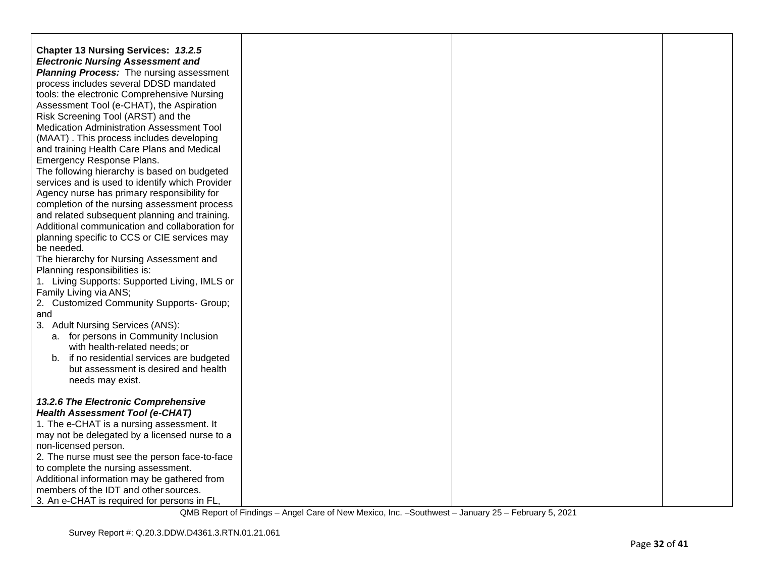| Chapter 13 Nursing Services: 13.2.5<br><b>Electronic Nursing Assessment and</b><br><b>Planning Process:</b> The nursing assessment<br>process includes several DDSD mandated<br>tools: the electronic Comprehensive Nursing<br>Assessment Tool (e-CHAT), the Aspiration<br>Risk Screening Tool (ARST) and the<br><b>Medication Administration Assessment Tool</b><br>(MAAT). This process includes developing<br>and training Health Care Plans and Medical<br>Emergency Response Plans.<br>The following hierarchy is based on budgeted<br>services and is used to identify which Provider<br>Agency nurse has primary responsibility for<br>completion of the nursing assessment process<br>and related subsequent planning and training.<br>Additional communication and collaboration for<br>planning specific to CCS or CIE services may<br>be needed.<br>The hierarchy for Nursing Assessment and<br>Planning responsibilities is:<br>1. Living Supports: Supported Living, IMLS or<br>Family Living via ANS;<br>2. Customized Community Supports- Group;<br>and<br>3. Adult Nursing Services (ANS):<br>a. for persons in Community Inclusion |  |  |
|-----------------------------------------------------------------------------------------------------------------------------------------------------------------------------------------------------------------------------------------------------------------------------------------------------------------------------------------------------------------------------------------------------------------------------------------------------------------------------------------------------------------------------------------------------------------------------------------------------------------------------------------------------------------------------------------------------------------------------------------------------------------------------------------------------------------------------------------------------------------------------------------------------------------------------------------------------------------------------------------------------------------------------------------------------------------------------------------------------------------------------------------------------|--|--|
| with health-related needs; or<br>b. if no residential services are budgeted<br>but assessment is desired and health<br>needs may exist.                                                                                                                                                                                                                                                                                                                                                                                                                                                                                                                                                                                                                                                                                                                                                                                                                                                                                                                                                                                                             |  |  |
| 13.2.6 The Electronic Comprehensive<br><b>Health Assessment Tool (e-CHAT)</b><br>1. The e-CHAT is a nursing assessment. It<br>may not be delegated by a licensed nurse to a<br>non-licensed person.<br>2. The nurse must see the person face-to-face<br>to complete the nursing assessment.<br>Additional information may be gathered from<br>members of the IDT and other sources.<br>3. An e-CHAT is required for persons in FL,                                                                                                                                                                                                                                                                                                                                                                                                                                                                                                                                                                                                                                                                                                                  |  |  |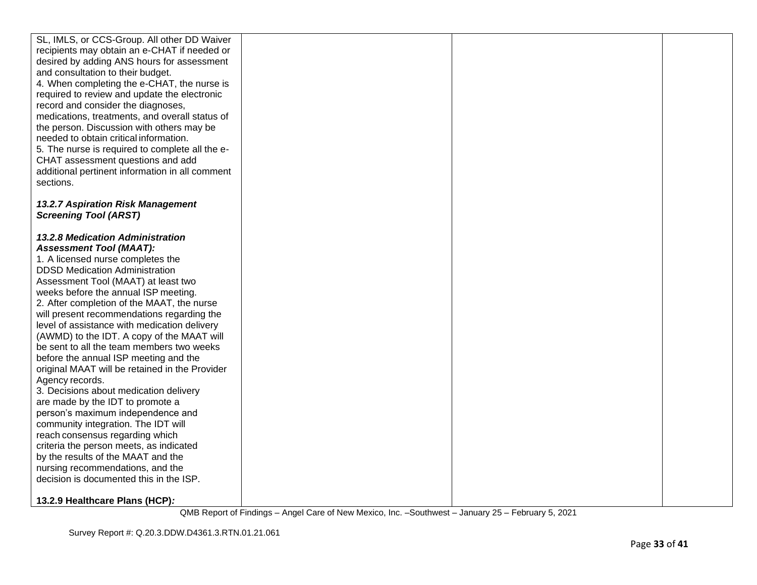| 13.2.7 Aspiration Risk Management<br><b>Screening Tool (ARST)</b><br><b>13.2.8 Medication Administration</b><br><b>Assessment Tool (MAAT):</b><br>1. A licensed nurse completes the<br><b>DDSD Medication Administration</b><br>Assessment Tool (MAAT) at least two<br>weeks before the annual ISP meeting.<br>2. After completion of the MAAT, the nurse<br>will present recommendations regarding the<br>level of assistance with medication delivery<br>(AWMD) to the IDT. A copy of the MAAT will<br>be sent to all the team members two weeks<br>before the annual ISP meeting and the<br>original MAAT will be retained in the Provider<br>Agency records.<br>3. Decisions about medication delivery<br>are made by the IDT to promote a<br>person's maximum independence and<br>community integration. The IDT will<br>reach consensus regarding which<br>criteria the person meets, as indicated<br>by the results of the MAAT and the<br>nursing recommendations, and the<br>decision is documented this in the ISP. | SL, IMLS, or CCS-Group. All other DD Waiver<br>recipients may obtain an e-CHAT if needed or<br>desired by adding ANS hours for assessment<br>and consultation to their budget.<br>4. When completing the e-CHAT, the nurse is<br>required to review and update the electronic<br>record and consider the diagnoses,<br>medications, treatments, and overall status of<br>the person. Discussion with others may be<br>needed to obtain critical information.<br>5. The nurse is required to complete all the e-<br>CHAT assessment questions and add<br>additional pertinent information in all comment<br>sections. |  |  |
|-------------------------------------------------------------------------------------------------------------------------------------------------------------------------------------------------------------------------------------------------------------------------------------------------------------------------------------------------------------------------------------------------------------------------------------------------------------------------------------------------------------------------------------------------------------------------------------------------------------------------------------------------------------------------------------------------------------------------------------------------------------------------------------------------------------------------------------------------------------------------------------------------------------------------------------------------------------------------------------------------------------------------------|----------------------------------------------------------------------------------------------------------------------------------------------------------------------------------------------------------------------------------------------------------------------------------------------------------------------------------------------------------------------------------------------------------------------------------------------------------------------------------------------------------------------------------------------------------------------------------------------------------------------|--|--|
|                                                                                                                                                                                                                                                                                                                                                                                                                                                                                                                                                                                                                                                                                                                                                                                                                                                                                                                                                                                                                               |                                                                                                                                                                                                                                                                                                                                                                                                                                                                                                                                                                                                                      |  |  |
| 13.2.9 Healthcare Plans (HCP):                                                                                                                                                                                                                                                                                                                                                                                                                                                                                                                                                                                                                                                                                                                                                                                                                                                                                                                                                                                                |                                                                                                                                                                                                                                                                                                                                                                                                                                                                                                                                                                                                                      |  |  |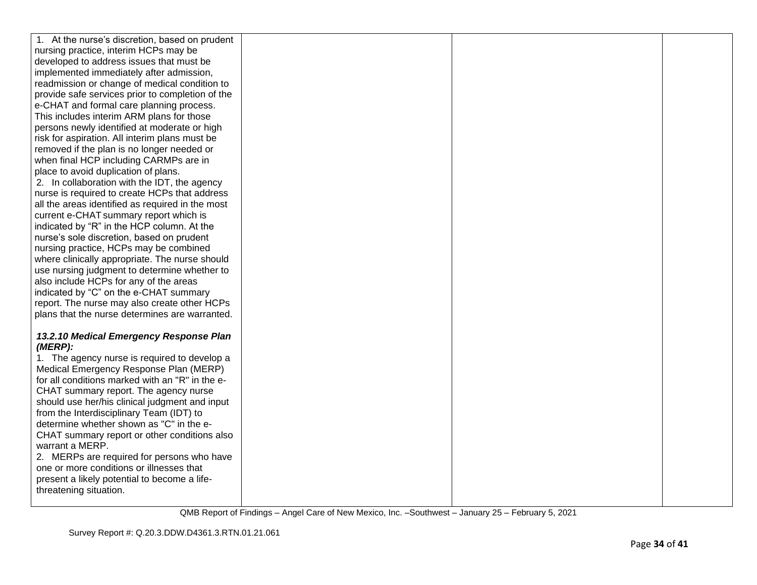| 1. At the nurse's discretion, based on prudent                                       |  |  |
|--------------------------------------------------------------------------------------|--|--|
| nursing practice, interim HCPs may be                                                |  |  |
| developed to address issues that must be                                             |  |  |
| implemented immediately after admission,                                             |  |  |
| readmission or change of medical condition to                                        |  |  |
| provide safe services prior to completion of the                                     |  |  |
| e-CHAT and formal care planning process.                                             |  |  |
| This includes interim ARM plans for those                                            |  |  |
| persons newly identified at moderate or high                                         |  |  |
| risk for aspiration. All interim plans must be                                       |  |  |
| removed if the plan is no longer needed or                                           |  |  |
| when final HCP including CARMPs are in                                               |  |  |
| place to avoid duplication of plans.                                                 |  |  |
| 2. In collaboration with the IDT, the agency                                         |  |  |
| nurse is required to create HCPs that address                                        |  |  |
| all the areas identified as required in the most                                     |  |  |
| current e-CHAT summary report which is                                               |  |  |
| indicated by "R" in the HCP column. At the                                           |  |  |
| nurse's sole discretion, based on prudent                                            |  |  |
| nursing practice, HCPs may be combined                                               |  |  |
| where clinically appropriate. The nurse should                                       |  |  |
| use nursing judgment to determine whether to                                         |  |  |
| also include HCPs for any of the areas                                               |  |  |
| indicated by "C" on the e-CHAT summary                                               |  |  |
| report. The nurse may also create other HCPs                                         |  |  |
| plans that the nurse determines are warranted.                                       |  |  |
|                                                                                      |  |  |
| 13.2.10 Medical Emergency Response Plan                                              |  |  |
| (MERP):                                                                              |  |  |
| 1. The agency nurse is required to develop a                                         |  |  |
| Medical Emergency Response Plan (MERP)                                               |  |  |
| for all conditions marked with an "R" in the e-                                      |  |  |
| CHAT summary report. The agency nurse                                                |  |  |
| should use her/his clinical judgment and input                                       |  |  |
| from the Interdisciplinary Team (IDT) to<br>determine whether shown as "C" in the e- |  |  |
| CHAT summary report or other conditions also                                         |  |  |
| warrant a MERP.                                                                      |  |  |
| 2. MERPs are required for persons who have                                           |  |  |
| one or more conditions or illnesses that                                             |  |  |
| present a likely potential to become a life-                                         |  |  |
| threatening situation.                                                               |  |  |
|                                                                                      |  |  |
|                                                                                      |  |  |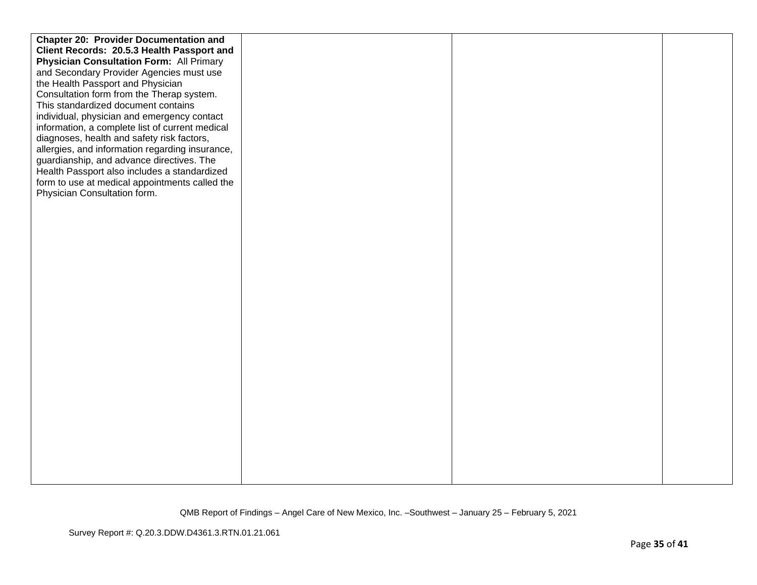| <b>Chapter 20: Provider Documentation and</b>   |  |  |
|-------------------------------------------------|--|--|
| Client Records: 20.5.3 Health Passport and      |  |  |
| <b>Physician Consultation Form: All Primary</b> |  |  |
| and Secondary Provider Agencies must use        |  |  |
| the Health Passport and Physician               |  |  |
| Consultation form from the Therap system.       |  |  |
| This standardized document contains             |  |  |
| individual, physician and emergency contact     |  |  |
| information, a complete list of current medical |  |  |
| diagnoses, health and safety risk factors,      |  |  |
| allergies, and information regarding insurance, |  |  |
| guardianship, and advance directives. The       |  |  |
| Health Passport also includes a standardized    |  |  |
| form to use at medical appointments called the  |  |  |
| Physician Consultation form.                    |  |  |
|                                                 |  |  |
|                                                 |  |  |
|                                                 |  |  |
|                                                 |  |  |
|                                                 |  |  |
|                                                 |  |  |
|                                                 |  |  |
|                                                 |  |  |
|                                                 |  |  |
|                                                 |  |  |
|                                                 |  |  |
|                                                 |  |  |
|                                                 |  |  |
|                                                 |  |  |
|                                                 |  |  |
|                                                 |  |  |
|                                                 |  |  |
|                                                 |  |  |
|                                                 |  |  |
|                                                 |  |  |
|                                                 |  |  |
|                                                 |  |  |
|                                                 |  |  |
|                                                 |  |  |
|                                                 |  |  |
|                                                 |  |  |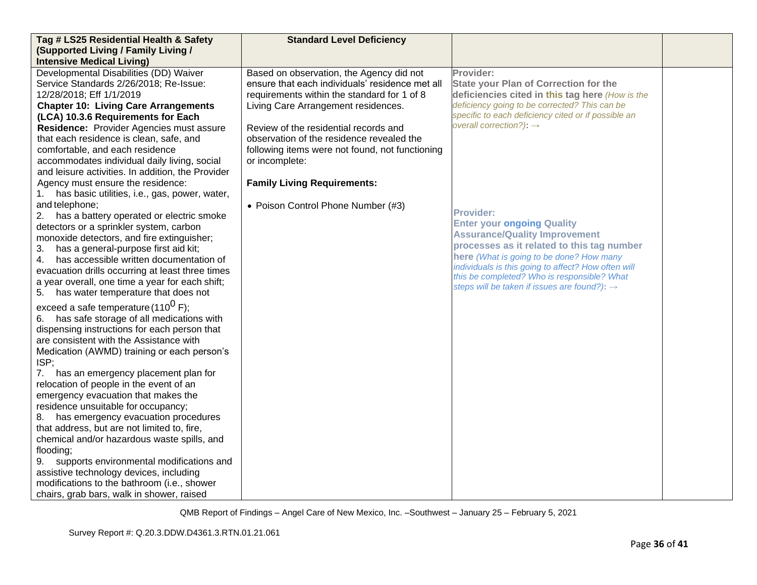| Tag # LS25 Residential Health & Safety              | <b>Standard Level Deficiency</b>                |                                                          |  |
|-----------------------------------------------------|-------------------------------------------------|----------------------------------------------------------|--|
| (Supported Living / Family Living /                 |                                                 |                                                          |  |
| <b>Intensive Medical Living)</b>                    |                                                 |                                                          |  |
| Developmental Disabilities (DD) Waiver              | Based on observation, the Agency did not        | Provider:                                                |  |
| Service Standards 2/26/2018; Re-Issue:              | ensure that each individuals' residence met all | <b>State your Plan of Correction for the</b>             |  |
| 12/28/2018; Eff 1/1/2019                            | requirements within the standard for 1 of 8     | deficiencies cited in this tag here (How is the          |  |
| <b>Chapter 10: Living Care Arrangements</b>         | Living Care Arrangement residences.             | deficiency going to be corrected? This can be            |  |
| (LCA) 10.3.6 Requirements for Each                  |                                                 | specific to each deficiency cited or if possible an      |  |
| Residence: Provider Agencies must assure            | Review of the residential records and           | overall correction?): $\rightarrow$                      |  |
| that each residence is clean, safe, and             | observation of the residence revealed the       |                                                          |  |
| comfortable, and each residence                     | following items were not found, not functioning |                                                          |  |
| accommodates individual daily living, social        | or incomplete:                                  |                                                          |  |
| and leisure activities. In addition, the Provider   |                                                 |                                                          |  |
| Agency must ensure the residence:                   | <b>Family Living Requirements:</b>              |                                                          |  |
| has basic utilities, i.e., gas, power, water,<br>1. |                                                 |                                                          |  |
| and telephone;                                      | • Poison Control Phone Number (#3)              |                                                          |  |
| 2. has a battery operated or electric smoke         |                                                 | <b>Provider:</b>                                         |  |
| detectors or a sprinkler system, carbon             |                                                 | <b>Enter your ongoing Quality</b>                        |  |
| monoxide detectors, and fire extinguisher;          |                                                 | <b>Assurance/Quality Improvement</b>                     |  |
| has a general-purpose first aid kit;<br>3.          |                                                 | processes as it related to this tag number               |  |
| has accessible written documentation of<br>4.       |                                                 | here (What is going to be done? How many                 |  |
| evacuation drills occurring at least three times    |                                                 | individuals is this going to affect? How often will      |  |
| a year overall, one time a year for each shift;     |                                                 | this be completed? Who is responsible? What              |  |
| 5. has water temperature that does not              |                                                 | steps will be taken if issues are found?): $\rightarrow$ |  |
| exceed a safe temperature (110 <sup>0</sup> F);     |                                                 |                                                          |  |
| has safe storage of all medications with            |                                                 |                                                          |  |
| dispensing instructions for each person that        |                                                 |                                                          |  |
| are consistent with the Assistance with             |                                                 |                                                          |  |
| Medication (AWMD) training or each person's         |                                                 |                                                          |  |
| ISP;                                                |                                                 |                                                          |  |
| 7. has an emergency placement plan for              |                                                 |                                                          |  |
| relocation of people in the event of an             |                                                 |                                                          |  |
| emergency evacuation that makes the                 |                                                 |                                                          |  |
| residence unsuitable for occupancy;                 |                                                 |                                                          |  |
| 8. has emergency evacuation procedures              |                                                 |                                                          |  |
| that address, but are not limited to, fire,         |                                                 |                                                          |  |
| chemical and/or hazardous waste spills, and         |                                                 |                                                          |  |
| flooding;                                           |                                                 |                                                          |  |
| supports environmental modifications and<br>9.      |                                                 |                                                          |  |
| assistive technology devices, including             |                                                 |                                                          |  |
| modifications to the bathroom (i.e., shower         |                                                 |                                                          |  |
| chairs, grab bars, walk in shower, raised           |                                                 |                                                          |  |
|                                                     |                                                 |                                                          |  |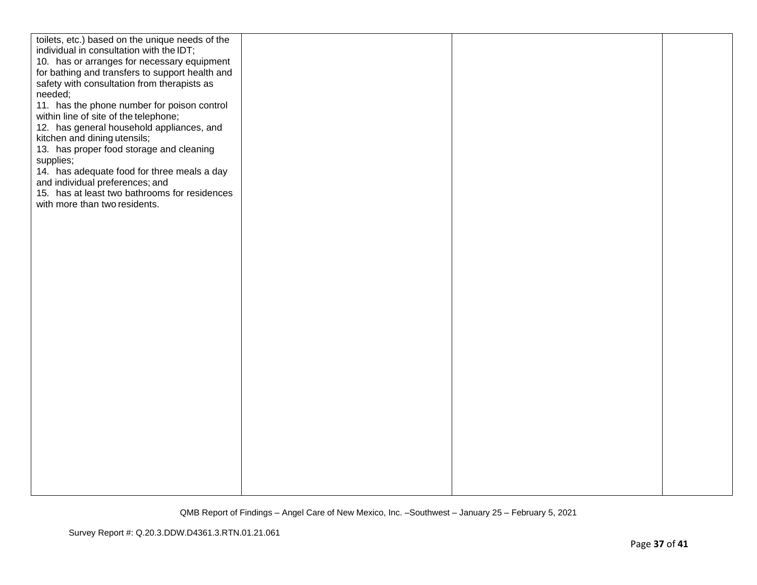| toilets, etc.) based on the unique needs of the<br>individual in consultation with the IDT;<br>10. has or arranges for necessary equipment<br>for bathing and transfers to support health and<br>safety with consultation from therapists as<br>needed;<br>11. has the phone number for poison control<br>within line of site of the telephone;<br>12. has general household appliances, and<br>kitchen and dining utensils;<br>13. has proper food storage and cleaning<br>supplies;<br>14. has adequate food for three meals a day<br>and individual preferences; and<br>15. has at least two bathrooms for residences<br>with more than two residents. |  |  |
|-----------------------------------------------------------------------------------------------------------------------------------------------------------------------------------------------------------------------------------------------------------------------------------------------------------------------------------------------------------------------------------------------------------------------------------------------------------------------------------------------------------------------------------------------------------------------------------------------------------------------------------------------------------|--|--|
|                                                                                                                                                                                                                                                                                                                                                                                                                                                                                                                                                                                                                                                           |  |  |
|                                                                                                                                                                                                                                                                                                                                                                                                                                                                                                                                                                                                                                                           |  |  |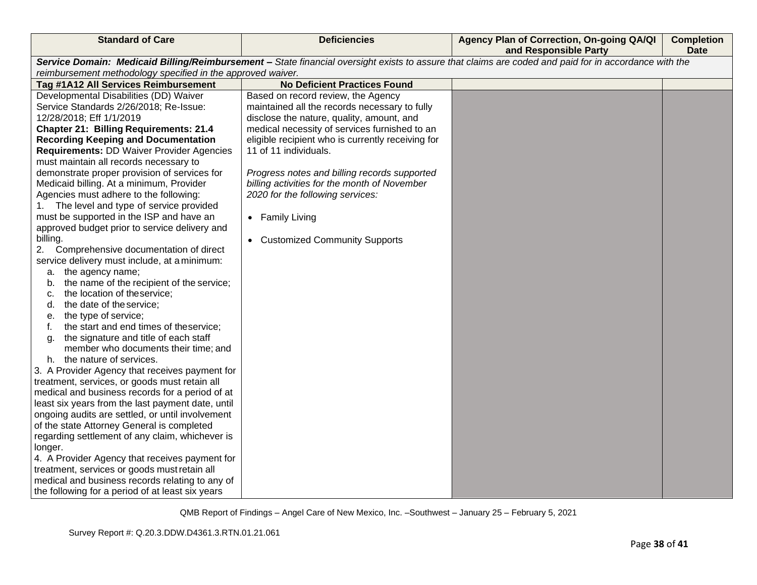| <b>Standard of Care</b>                                                                                                                               | <b>Deficiencies</b>                               | Agency Plan of Correction, On-going QA/QI<br>and Responsible Party | <b>Completion</b><br><b>Date</b> |  |
|-------------------------------------------------------------------------------------------------------------------------------------------------------|---------------------------------------------------|--------------------------------------------------------------------|----------------------------------|--|
| Service Domain: Medicaid Billing/Reimbursement - State financial oversight exists to assure that claims are coded and paid for in accordance with the |                                                   |                                                                    |                                  |  |
| reimbursement methodology specified in the approved waiver.                                                                                           |                                                   |                                                                    |                                  |  |
| Tag #1A12 All Services Reimbursement                                                                                                                  | <b>No Deficient Practices Found</b>               |                                                                    |                                  |  |
| Developmental Disabilities (DD) Waiver                                                                                                                | Based on record review, the Agency                |                                                                    |                                  |  |
| Service Standards 2/26/2018; Re-Issue:                                                                                                                | maintained all the records necessary to fully     |                                                                    |                                  |  |
| 12/28/2018; Eff 1/1/2019                                                                                                                              | disclose the nature, quality, amount, and         |                                                                    |                                  |  |
| <b>Chapter 21: Billing Requirements: 21.4</b>                                                                                                         | medical necessity of services furnished to an     |                                                                    |                                  |  |
| <b>Recording Keeping and Documentation</b>                                                                                                            | eligible recipient who is currently receiving for |                                                                    |                                  |  |
| <b>Requirements: DD Waiver Provider Agencies</b>                                                                                                      | 11 of 11 individuals.                             |                                                                    |                                  |  |
| must maintain all records necessary to                                                                                                                |                                                   |                                                                    |                                  |  |
| demonstrate proper provision of services for                                                                                                          | Progress notes and billing records supported      |                                                                    |                                  |  |
| Medicaid billing. At a minimum, Provider                                                                                                              | billing activities for the month of November      |                                                                    |                                  |  |
| Agencies must adhere to the following:                                                                                                                | 2020 for the following services:                  |                                                                    |                                  |  |
| 1. The level and type of service provided                                                                                                             |                                                   |                                                                    |                                  |  |
| must be supported in the ISP and have an<br>approved budget prior to service delivery and                                                             | • Family Living                                   |                                                                    |                                  |  |
| billing.                                                                                                                                              |                                                   |                                                                    |                                  |  |
| Comprehensive documentation of direct<br>2.                                                                                                           | • Customized Community Supports                   |                                                                    |                                  |  |
| service delivery must include, at a minimum:                                                                                                          |                                                   |                                                                    |                                  |  |
| a. the agency name;                                                                                                                                   |                                                   |                                                                    |                                  |  |
| the name of the recipient of the service;<br>b.                                                                                                       |                                                   |                                                                    |                                  |  |
| the location of theservice;<br>c.                                                                                                                     |                                                   |                                                                    |                                  |  |
| the date of the service;<br>d.                                                                                                                        |                                                   |                                                                    |                                  |  |
| the type of service;<br>е.                                                                                                                            |                                                   |                                                                    |                                  |  |
| the start and end times of theservice;<br>f.                                                                                                          |                                                   |                                                                    |                                  |  |
| the signature and title of each staff<br>a.                                                                                                           |                                                   |                                                                    |                                  |  |
| member who documents their time; and                                                                                                                  |                                                   |                                                                    |                                  |  |
| h. the nature of services.                                                                                                                            |                                                   |                                                                    |                                  |  |
| 3. A Provider Agency that receives payment for                                                                                                        |                                                   |                                                                    |                                  |  |
| treatment, services, or goods must retain all                                                                                                         |                                                   |                                                                    |                                  |  |
| medical and business records for a period of at                                                                                                       |                                                   |                                                                    |                                  |  |
| least six years from the last payment date, until                                                                                                     |                                                   |                                                                    |                                  |  |
| ongoing audits are settled, or until involvement                                                                                                      |                                                   |                                                                    |                                  |  |
| of the state Attorney General is completed                                                                                                            |                                                   |                                                                    |                                  |  |
| regarding settlement of any claim, whichever is                                                                                                       |                                                   |                                                                    |                                  |  |
| longer.                                                                                                                                               |                                                   |                                                                    |                                  |  |
| 4. A Provider Agency that receives payment for                                                                                                        |                                                   |                                                                    |                                  |  |
| treatment, services or goods must retain all                                                                                                          |                                                   |                                                                    |                                  |  |
| medical and business records relating to any of                                                                                                       |                                                   |                                                                    |                                  |  |
| the following for a period of at least six years                                                                                                      |                                                   |                                                                    |                                  |  |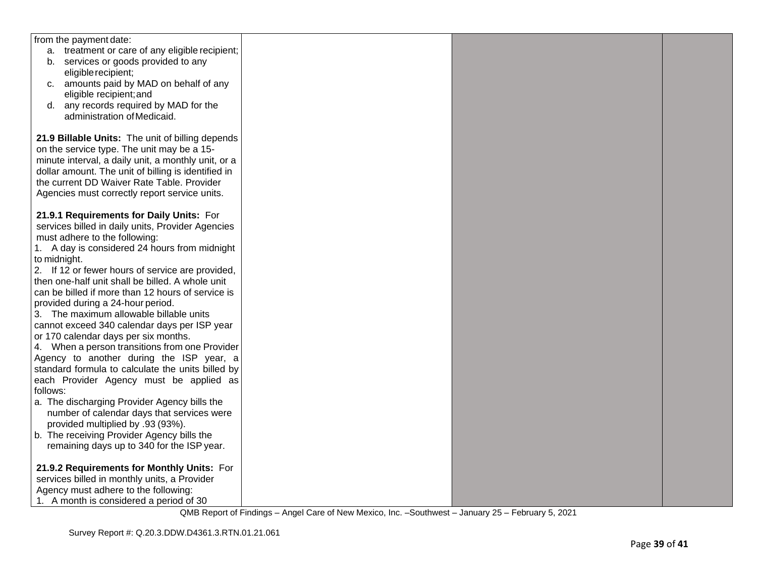| from the payment date:                              |  |  |
|-----------------------------------------------------|--|--|
| a. treatment or care of any eligible recipient;     |  |  |
|                                                     |  |  |
| b. services or goods provided to any                |  |  |
| eligible recipient;                                 |  |  |
| c. amounts paid by MAD on behalf of any             |  |  |
| eligible recipient; and                             |  |  |
| any records required by MAD for the<br>d.           |  |  |
| administration of Medicaid.                         |  |  |
|                                                     |  |  |
| 21.9 Billable Units: The unit of billing depends    |  |  |
| on the service type. The unit may be a 15-          |  |  |
| minute interval, a daily unit, a monthly unit, or a |  |  |
| dollar amount. The unit of billing is identified in |  |  |
| the current DD Waiver Rate Table. Provider          |  |  |
| Agencies must correctly report service units.       |  |  |
|                                                     |  |  |
| 21.9.1 Requirements for Daily Units: For            |  |  |
|                                                     |  |  |
| services billed in daily units, Provider Agencies   |  |  |
| must adhere to the following:                       |  |  |
| 1. A day is considered 24 hours from midnight       |  |  |
| to midnight.                                        |  |  |
| 2. If 12 or fewer hours of service are provided,    |  |  |
| then one-half unit shall be billed. A whole unit    |  |  |
| can be billed if more than 12 hours of service is   |  |  |
| provided during a 24-hour period.                   |  |  |
| 3. The maximum allowable billable units             |  |  |
| cannot exceed 340 calendar days per ISP year        |  |  |
| or 170 calendar days per six months.                |  |  |
| 4. When a person transitions from one Provider      |  |  |
| Agency to another during the ISP year, a            |  |  |
| standard formula to calculate the units billed by   |  |  |
| each Provider Agency must be applied as             |  |  |
| follows:                                            |  |  |
| a. The discharging Provider Agency bills the        |  |  |
| number of calendar days that services were          |  |  |
| provided multiplied by .93 (93%).                   |  |  |
| b. The receiving Provider Agency bills the          |  |  |
| remaining days up to 340 for the ISP year.          |  |  |
|                                                     |  |  |
| 21.9.2 Requirements for Monthly Units: For          |  |  |
| services billed in monthly units, a Provider        |  |  |
| Agency must adhere to the following:                |  |  |
| 1. A month is considered a period of 30             |  |  |
|                                                     |  |  |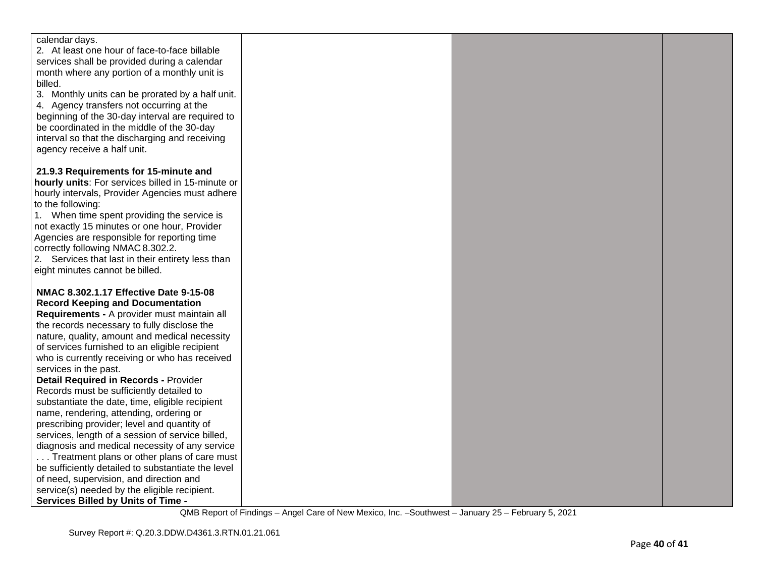| calendar days.                                                                                     |  |  |
|----------------------------------------------------------------------------------------------------|--|--|
| 2. At least one hour of face-to-face billable                                                      |  |  |
| services shall be provided during a calendar                                                       |  |  |
| month where any portion of a monthly unit is                                                       |  |  |
| billed.                                                                                            |  |  |
| 3. Monthly units can be prorated by a half unit.                                                   |  |  |
| 4. Agency transfers not occurring at the                                                           |  |  |
| beginning of the 30-day interval are required to                                                   |  |  |
| be coordinated in the middle of the 30-day                                                         |  |  |
| interval so that the discharging and receiving                                                     |  |  |
| agency receive a half unit.                                                                        |  |  |
| 21.9.3 Requirements for 15-minute and                                                              |  |  |
| hourly units: For services billed in 15-minute or                                                  |  |  |
| hourly intervals, Provider Agencies must adhere                                                    |  |  |
| to the following:                                                                                  |  |  |
| 1. When time spent providing the service is                                                        |  |  |
| not exactly 15 minutes or one hour, Provider                                                       |  |  |
| Agencies are responsible for reporting time                                                        |  |  |
| correctly following NMAC 8.302.2.                                                                  |  |  |
| 2. Services that last in their entirety less than                                                  |  |  |
| eight minutes cannot be billed.                                                                    |  |  |
|                                                                                                    |  |  |
| NMAC 8.302.1.17 Effective Date 9-15-08                                                             |  |  |
| <b>Record Keeping and Documentation</b>                                                            |  |  |
| Requirements - A provider must maintain all                                                        |  |  |
| the records necessary to fully disclose the                                                        |  |  |
| nature, quality, amount and medical necessity                                                      |  |  |
| of services furnished to an eligible recipient                                                     |  |  |
| who is currently receiving or who has received                                                     |  |  |
| services in the past.                                                                              |  |  |
| <b>Detail Required in Records - Provider</b>                                                       |  |  |
| Records must be sufficiently detailed to                                                           |  |  |
| substantiate the date, time, eligible recipient                                                    |  |  |
| name, rendering, attending, ordering or                                                            |  |  |
| prescribing provider; level and quantity of                                                        |  |  |
| services, length of a session of service billed,<br>diagnosis and medical necessity of any service |  |  |
| Treatment plans or other plans of care must                                                        |  |  |
| be sufficiently detailed to substantiate the level                                                 |  |  |
| of need, supervision, and direction and                                                            |  |  |
| service(s) needed by the eligible recipient.                                                       |  |  |
| <b>Services Billed by Units of Time -</b>                                                          |  |  |
|                                                                                                    |  |  |